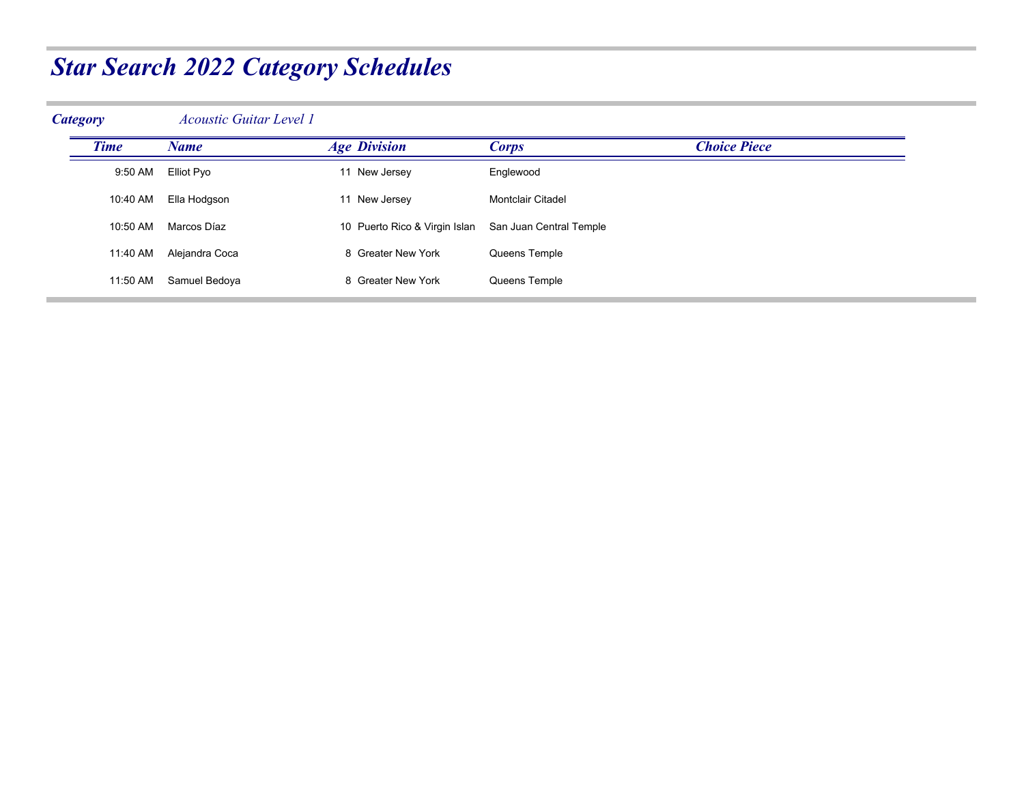| <b>Category</b> | <b>Acoustic Guitar Level 1</b> |                               |                          |                     |
|-----------------|--------------------------------|-------------------------------|--------------------------|---------------------|
| <b>Time</b>     | Name                           | <b>Age Division</b>           | <b>Corps</b>             | <b>Choice Piece</b> |
| 9:50 AM         | Elliot Pyo                     | 11 New Jersey                 | Englewood                |                     |
| 10:40 AM        | Ella Hodgson                   | 11 New Jersey                 | <b>Montclair Citadel</b> |                     |
| 10:50 AM        | Marcos Díaz                    | 10 Puerto Rico & Virgin Islan | San Juan Central Temple  |                     |
| 11:40 AM        | Alejandra Coca                 | 8 Greater New York            | Queens Temple            |                     |
| 11:50 AM        | Samuel Bedoya                  | 8 Greater New York            | Queens Temple            |                     |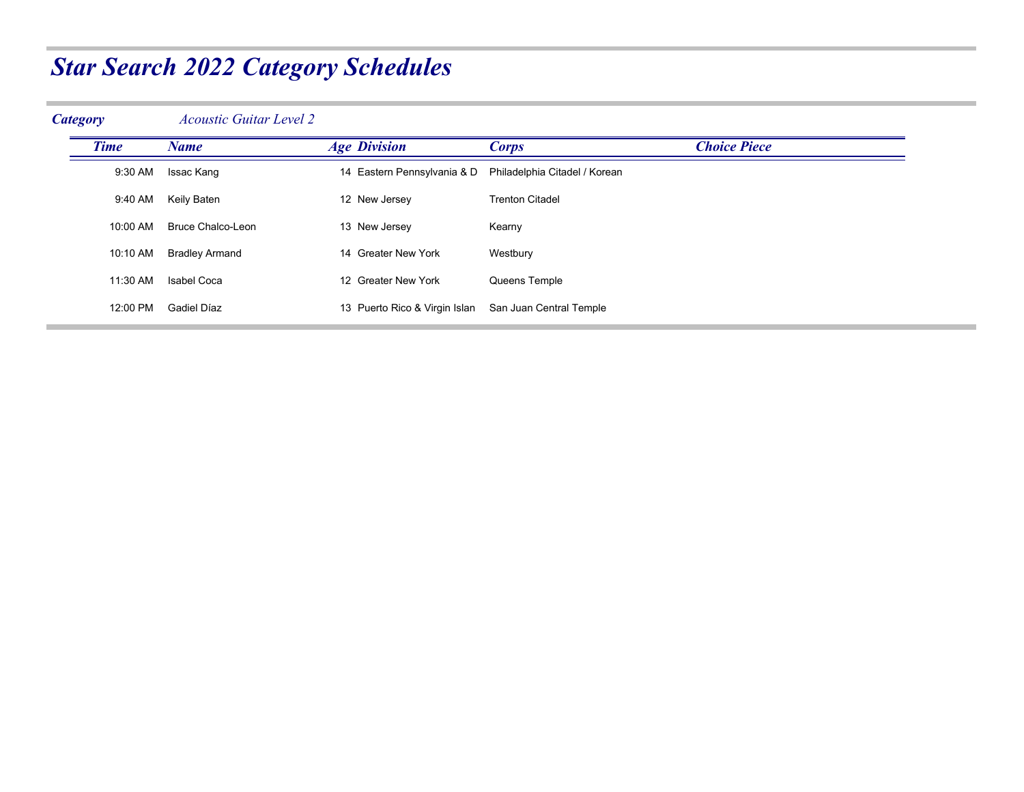### *Category Acoustic Guitar Level 2 Time Name Age Division Corps Choice Piece* 9:30 AM Issac Kang 14 Eastern Pennsylvania & D Philadelphia Citadel / Korean 9:40 AM Keily Baten 12 New Jersey Trenton Citadel 10:00 AM Bruce Chalco-Leon 13 New Jersey Kearny 10:10 AM Bradley Armand 14 Greater New York Westbury 11:30 AM Isabel Coca 12 Greater New York Queens Temple 12:00 PM Gadiel Díaz 13 Puerto Rico & Virgin Islan San Juan Central Temple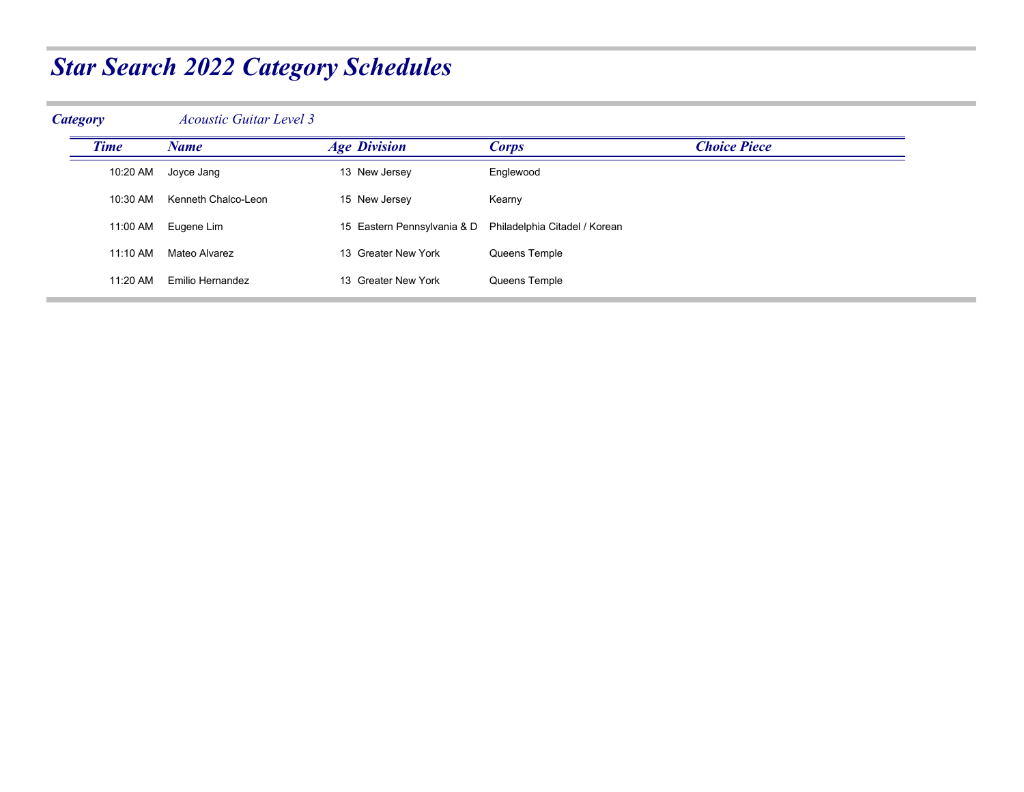| <b>Category</b> | <b>Acoustic Guitar Level 3</b> |                             |                               |                     |
|-----------------|--------------------------------|-----------------------------|-------------------------------|---------------------|
| <b>Time</b>     | <b>Name</b>                    | <b>Age Division</b>         | <b>Corps</b>                  | <b>Choice Piece</b> |
| 10:20 AM        | Joyce Jang                     | 13 New Jersey               | Englewood                     |                     |
| 10:30 AM        | Kenneth Chalco-Leon            | 15 New Jersey               | Kearny                        |                     |
| 11:00 AM        | Eugene Lim                     | 15 Eastern Pennsylvania & D | Philadelphia Citadel / Korean |                     |
| 11:10 AM        | Mateo Alvarez                  | 13 Greater New York         | Queens Temple                 |                     |
| 11:20 AM        | Emilio Hernandez               | 13 Greater New York         | Queens Temple                 |                     |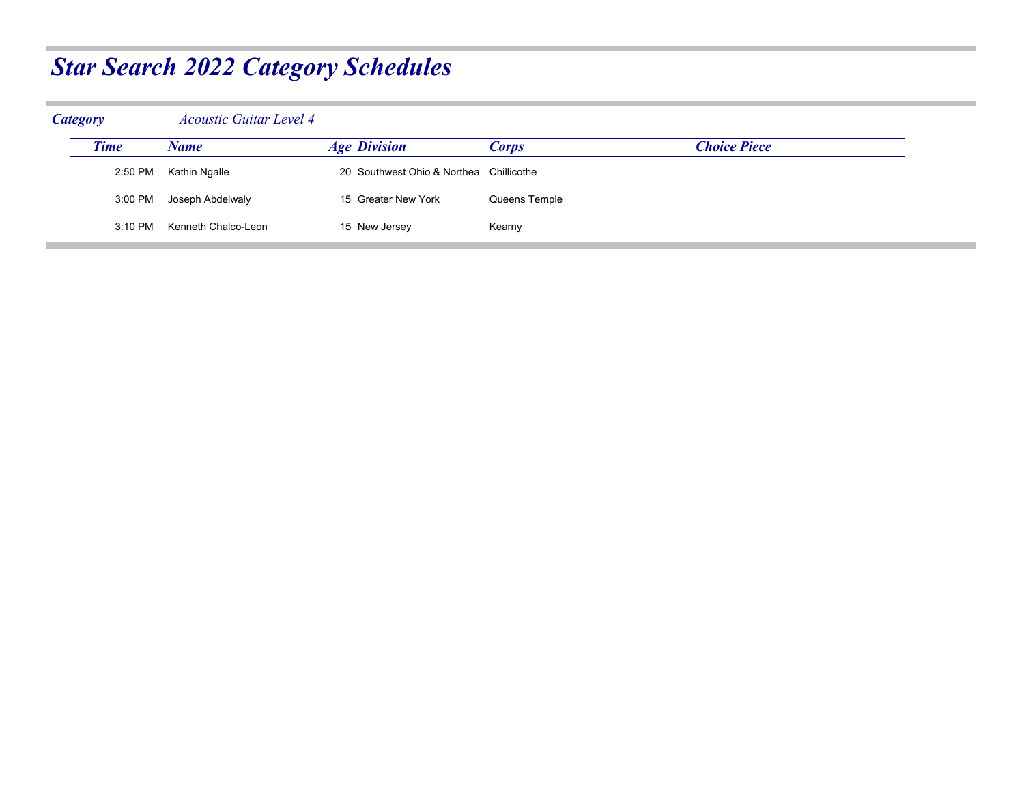| <b>Category</b> |             | <b>Acoustic Guitar Level 4</b> |                                         |               |                     |
|-----------------|-------------|--------------------------------|-----------------------------------------|---------------|---------------------|
|                 | <b>Time</b> | Name                           | <b>Age Division</b>                     | <b>Corps</b>  | <b>Choice Piece</b> |
|                 | 2:50 PM     | Kathin Ngalle                  | 20 Southwest Ohio & Northea Chillicothe |               |                     |
|                 | 3:00 PM     | Joseph Abdelwaly               | 15 Greater New York                     | Queens Temple |                     |
|                 | 3:10 PM     | Kenneth Chalco-Leon            | 15 New Jersey                           | Kearny        |                     |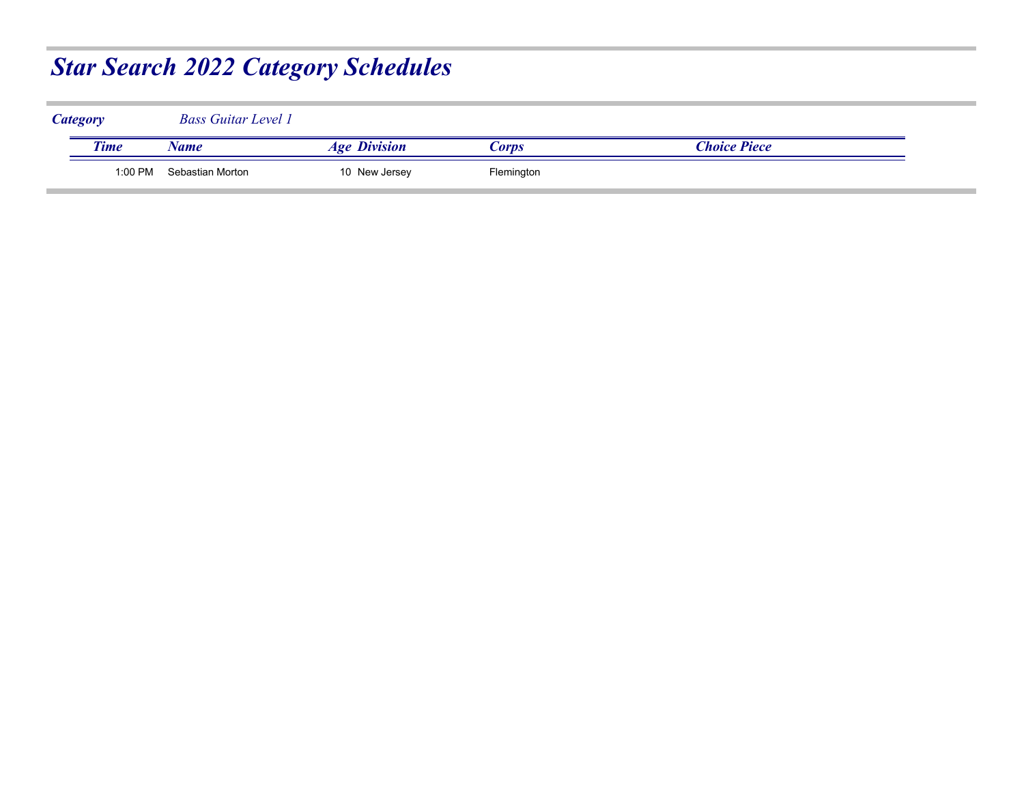| <b>Category</b> | <b>Bass Guitar Level 1</b> |                     |            |              |
|-----------------|----------------------------|---------------------|------------|--------------|
| <b>Time</b>     | Name                       | <b>Age Division</b> | Corps      | Choice Piece |
| 1:00 PM         | Sebastian Morton           | 10 New Jersey       | Flemington |              |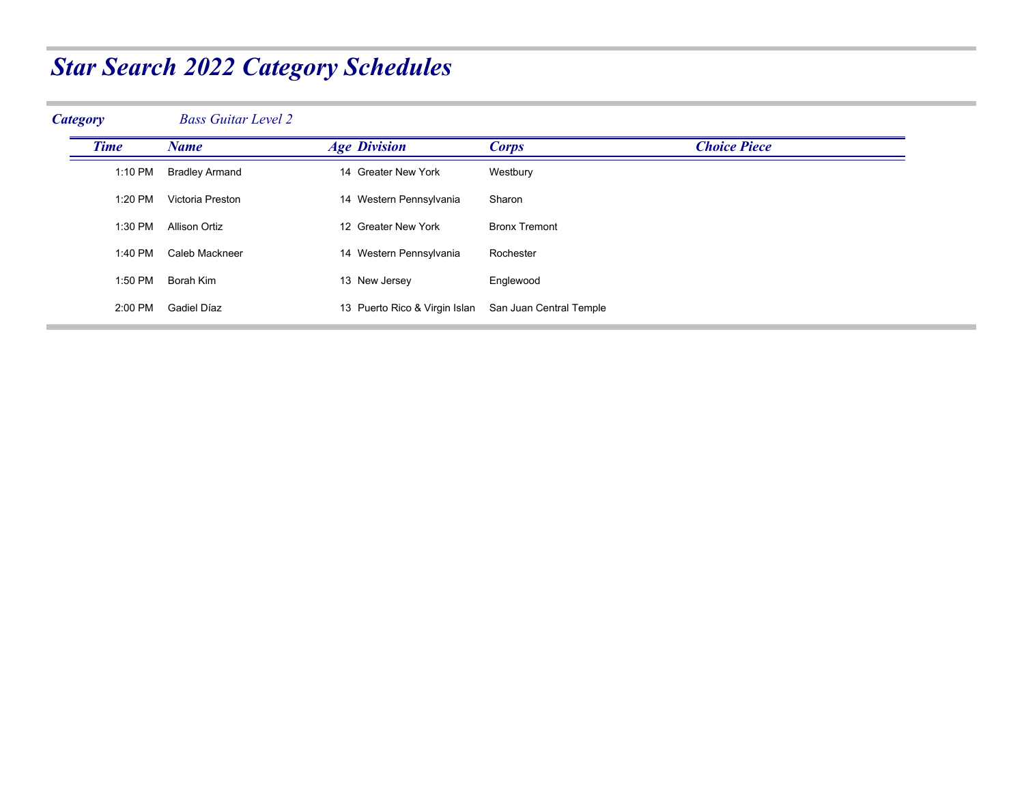| <b>Bass Guitar Level 2</b> |                               |                         |                     |
|----------------------------|-------------------------------|-------------------------|---------------------|
| <b>Name</b>                | <b>Age Division</b>           | <b>Corps</b>            | <b>Choice Piece</b> |
| <b>Bradley Armand</b>      | 14 Greater New York           | Westbury                |                     |
| Victoria Preston           | 14 Western Pennsylvania       | Sharon                  |                     |
| <b>Allison Ortiz</b>       | 12 Greater New York           | <b>Bronx Tremont</b>    |                     |
| Caleb Mackneer             | 14 Western Pennsylvania       | Rochester               |                     |
| Borah Kim                  | 13 New Jersey                 | Englewood               |                     |
| Gadiel Díaz                | 13 Puerto Rico & Virgin Islan | San Juan Central Temple |                     |
|                            |                               |                         |                     |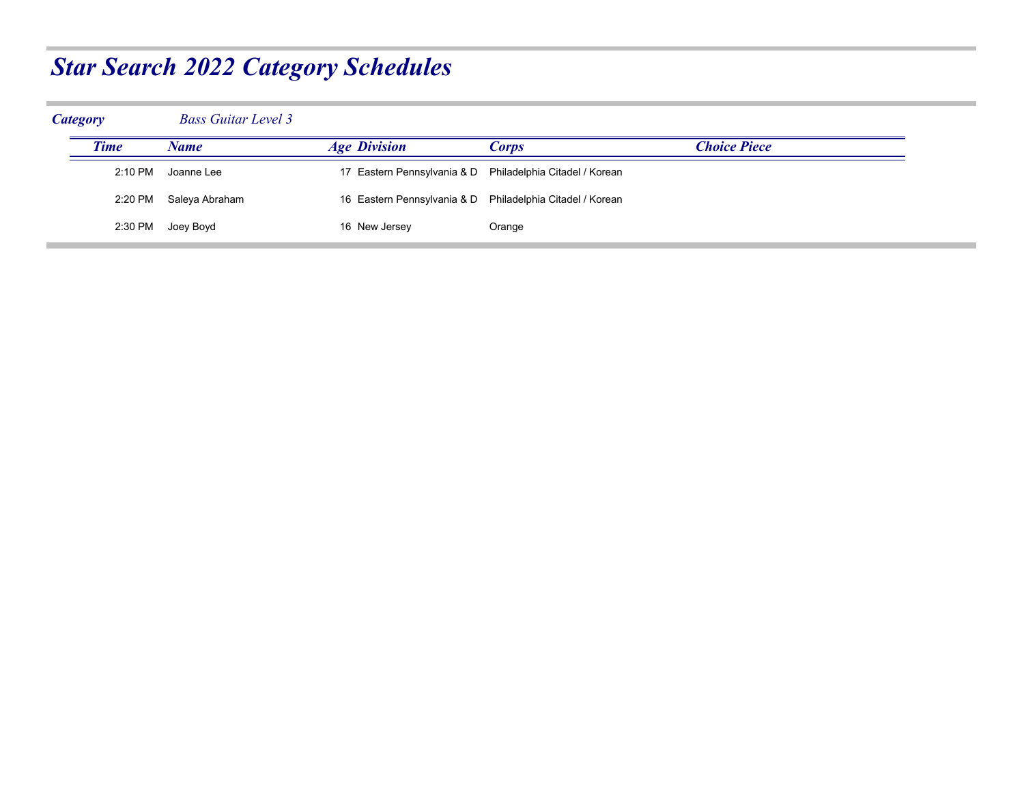| <b>Category</b> |             | <b>Bass Guitar Level 3</b> |                                                           |              |              |  |
|-----------------|-------------|----------------------------|-----------------------------------------------------------|--------------|--------------|--|
|                 | <b>Time</b> | Name                       | <b>Age Division</b>                                       | <b>Corps</b> | Choice Piece |  |
|                 |             | 2:10 PM Joanne Lee         | 17 Eastern Pennsylvania & D Philadelphia Citadel / Korean |              |              |  |
|                 |             | 2:20 PM Saleya Abraham     | 16 Eastern Pennsylvania & D Philadelphia Citadel / Korean |              |              |  |
|                 |             | 2:30 PM Joey Boyd          | 16 New Jersey                                             | Orange       |              |  |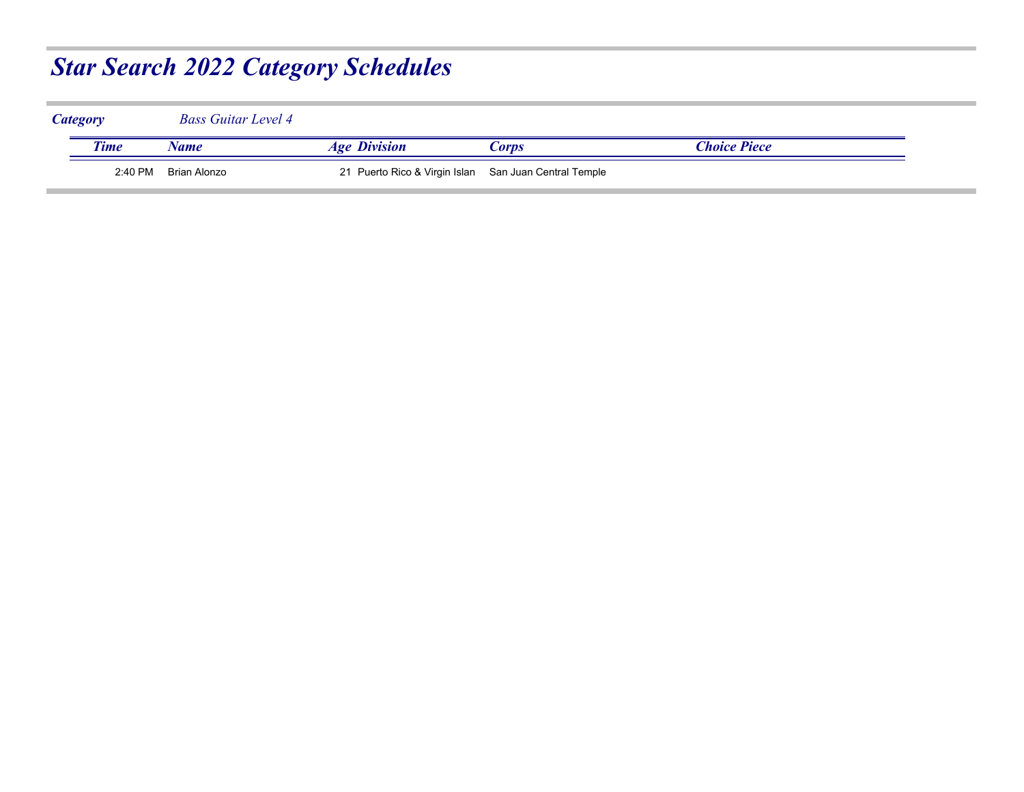| <b>Category</b> |             | <b>Bass Guitar Level 4</b> |                                                       |       |              |
|-----------------|-------------|----------------------------|-------------------------------------------------------|-------|--------------|
|                 | <b>Time</b> | Name                       | <b>Age Division</b>                                   | Corps | Choice Piece |
|                 | 2:40 PM     | Brian Alonzo               | 21 Puerto Rico & Virgin Islan San Juan Central Temple |       |              |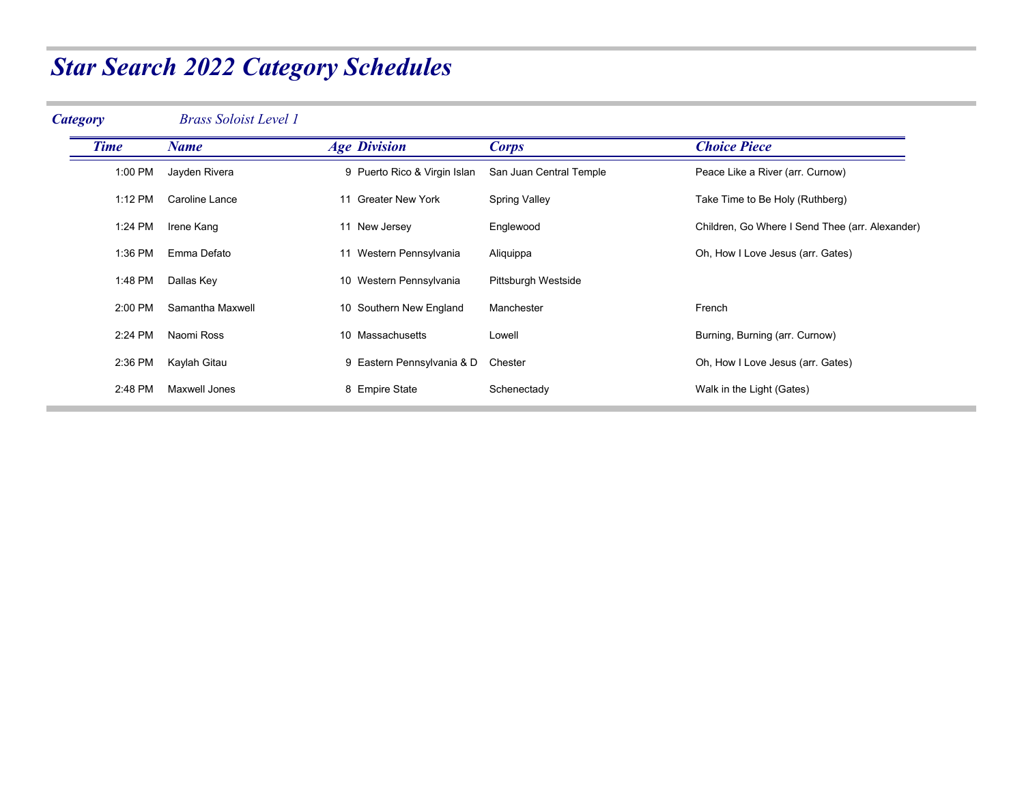| <b>Category</b> | <b>Brass Soloist Level 1</b> |                              |                         |                                                 |
|-----------------|------------------------------|------------------------------|-------------------------|-------------------------------------------------|
| <b>Time</b>     | <b>Name</b>                  | <b>Age Division</b>          | <b>Corps</b>            | <b>Choice Piece</b>                             |
| 1:00 PM         | Jayden Rivera                | 9 Puerto Rico & Virgin Islan | San Juan Central Temple | Peace Like a River (arr. Curnow)                |
| 1:12 PM         | Caroline Lance               | 11 Greater New York          | <b>Spring Valley</b>    | Take Time to Be Holy (Ruthberg)                 |
| 1:24 PM         | Irene Kang                   | 11 New Jersey                | Englewood               | Children, Go Where I Send Thee (arr. Alexander) |
| 1:36 PM         | Emma Defato                  | 11 Western Pennsylvania      | Aliquippa               | Oh, How I Love Jesus (arr. Gates)               |
| 1:48 PM         | Dallas Key                   | 10 Western Pennsylvania      | Pittsburgh Westside     |                                                 |
| 2:00 PM         | Samantha Maxwell             | 10 Southern New England      | Manchester              | French                                          |
| 2:24 PM         | Naomi Ross                   | 10 Massachusetts             | Lowell                  | Burning, Burning (arr. Curnow)                  |
| 2:36 PM         | Kaylah Gitau                 | 9 Eastern Pennsylvania & D   | Chester                 | Oh, How I Love Jesus (arr. Gates)               |
| 2:48 PM         | Maxwell Jones                | 8 Empire State               | Schenectady             | Walk in the Light (Gates)                       |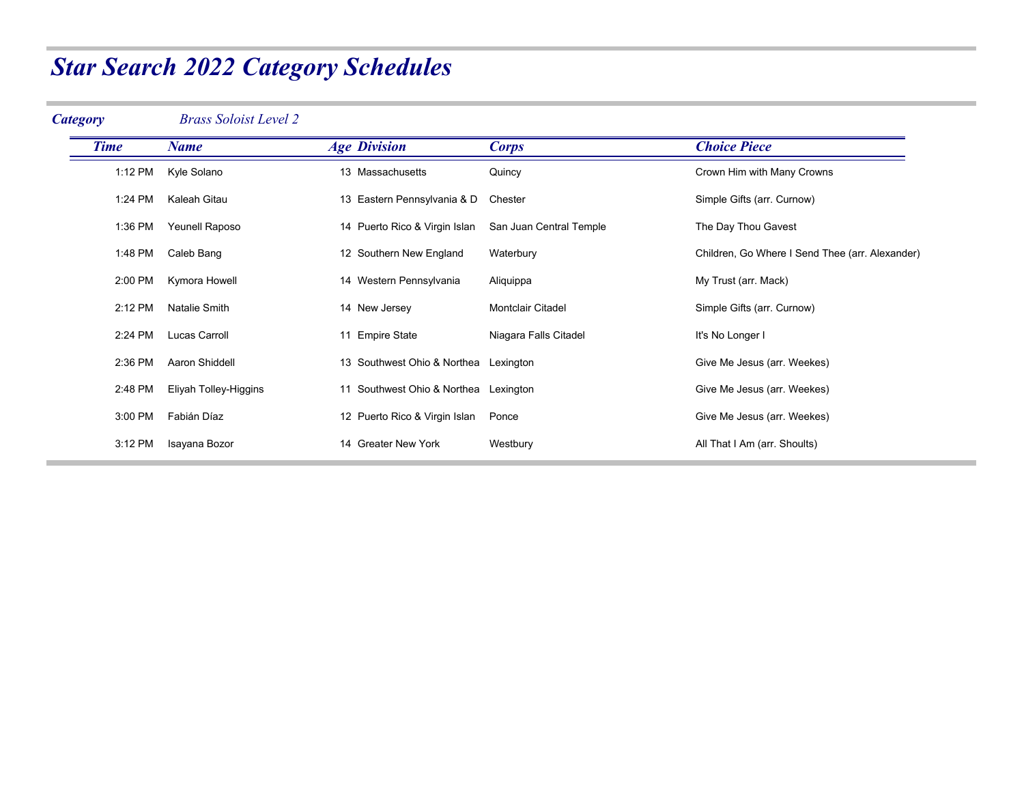| <b>Name</b>           | <b>Age Division</b>                                                                                                   | <b>Corps</b>            | <b>Choice Piece</b>                                                            |
|-----------------------|-----------------------------------------------------------------------------------------------------------------------|-------------------------|--------------------------------------------------------------------------------|
| Kyle Solano           | 13 Massachusetts                                                                                                      | Quincy                  | Crown Him with Many Crowns                                                     |
| Kaleah Gitau          | 13 Eastern Pennsylvania & D                                                                                           | Chester                 | Simple Gifts (arr. Curnow)                                                     |
| Yeunell Raposo        | 14 Puerto Rico & Virgin Islan                                                                                         | San Juan Central Temple | The Day Thou Gavest                                                            |
| Caleb Bang            | 12 Southern New England                                                                                               | Waterbury               | Children, Go Where I Send Thee (arr. Alexander)                                |
| Kymora Howell         | 14 Western Pennsylvania                                                                                               | Aliquippa               | My Trust (arr. Mack)                                                           |
| Natalie Smith         | 14 New Jersey                                                                                                         | Montclair Citadel       | Simple Gifts (arr. Curnow)                                                     |
| Lucas Carroll         | 11 Empire State                                                                                                       | Niagara Falls Citadel   | It's No Longer I                                                               |
| Aaron Shiddell        |                                                                                                                       |                         | Give Me Jesus (arr. Weekes)                                                    |
| Eliyah Tolley-Higgins |                                                                                                                       |                         | Give Me Jesus (arr. Weekes)                                                    |
| Fabián Díaz           | 12 Puerto Rico & Virgin Islan                                                                                         | Ponce                   | Give Me Jesus (arr. Weekes)                                                    |
| Isayana Bozor         | 14 Greater New York                                                                                                   | Westbury                | All That I Am (arr. Shoults)                                                   |
|                       | 1:12 PM<br>1:24 PM<br>1:36 PM<br>1:48 PM<br>2:00 PM<br>2:12 PM<br>2:24 PM<br>2:36 PM<br>2:48 PM<br>3:00 PM<br>3:12 PM |                         | 13 Southwest Ohio & Northea Lexington<br>11 Southwest Ohio & Northea Lexington |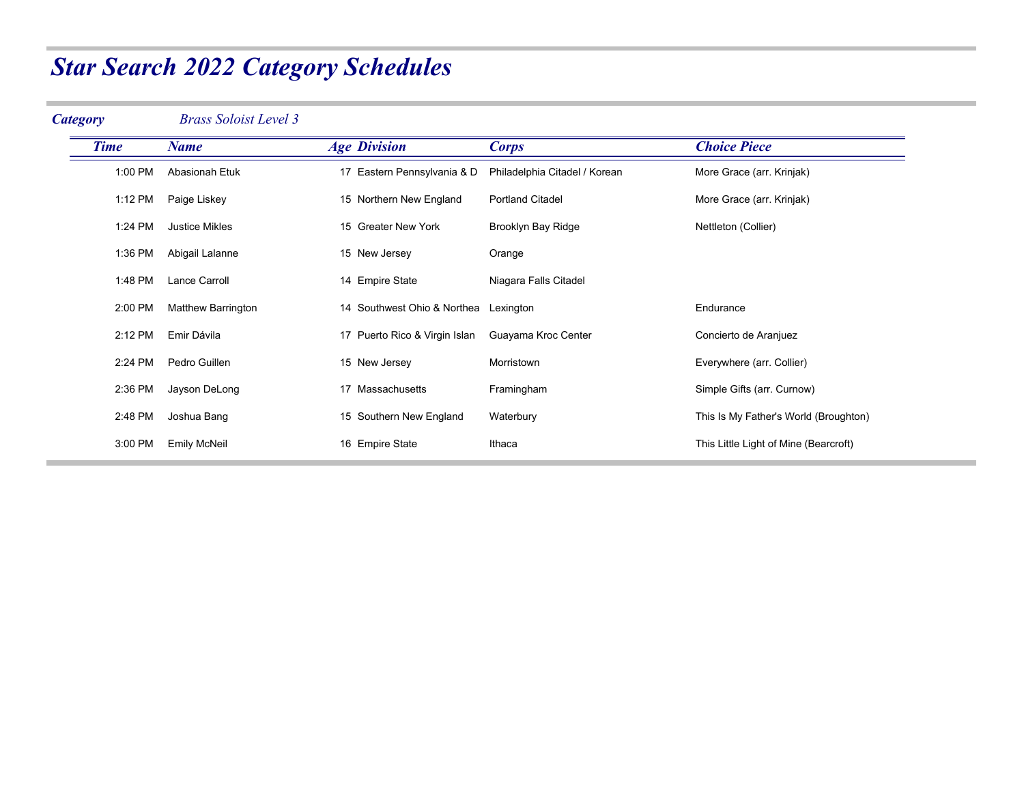| <b>Category</b> |             | <b>Brass Soloist Level 3</b> |                               |                               |                                       |
|-----------------|-------------|------------------------------|-------------------------------|-------------------------------|---------------------------------------|
|                 | <b>Time</b> | <b>Name</b>                  | <b>Age Division</b>           | <b>Corps</b>                  | <b>Choice Piece</b>                   |
|                 | 1:00 PM     | Abasionah Etuk               | 17 Eastern Pennsylvania & D   | Philadelphia Citadel / Korean | More Grace (arr. Krinjak)             |
|                 | 1:12 PM     | Paige Liskey                 | 15 Northern New England       | <b>Portland Citadel</b>       | More Grace (arr. Krinjak)             |
|                 | 1:24 PM     | <b>Justice Mikles</b>        | 15 Greater New York           | Brooklyn Bay Ridge            | Nettleton (Collier)                   |
|                 | 1:36 PM     | Abigail Lalanne              | 15 New Jersey                 | Orange                        |                                       |
|                 | 1:48 PM     | Lance Carroll                | 14 Empire State               | Niagara Falls Citadel         |                                       |
|                 | 2:00 PM     | <b>Matthew Barrington</b>    | 14 Southwest Ohio & Northea   | Lexington                     | Endurance                             |
|                 | 2:12 PM     | Emir Dávila                  | 17 Puerto Rico & Virgin Islan | Guayama Kroc Center           | Concierto de Aranjuez                 |
|                 | 2:24 PM     | Pedro Guillen                | 15 New Jersey                 | Morristown                    | Everywhere (arr. Collier)             |
|                 | 2:36 PM     | Jayson DeLong                | 17 Massachusetts              | Framingham                    | Simple Gifts (arr. Curnow)            |
|                 | 2:48 PM     | Joshua Bang                  | 15 Southern New England       | Waterbury                     | This Is My Father's World (Broughton) |
|                 | 3:00 PM     | <b>Emily McNeil</b>          | 16 Empire State               | Ithaca                        | This Little Light of Mine (Bearcroft) |
|                 |             |                              |                               |                               |                                       |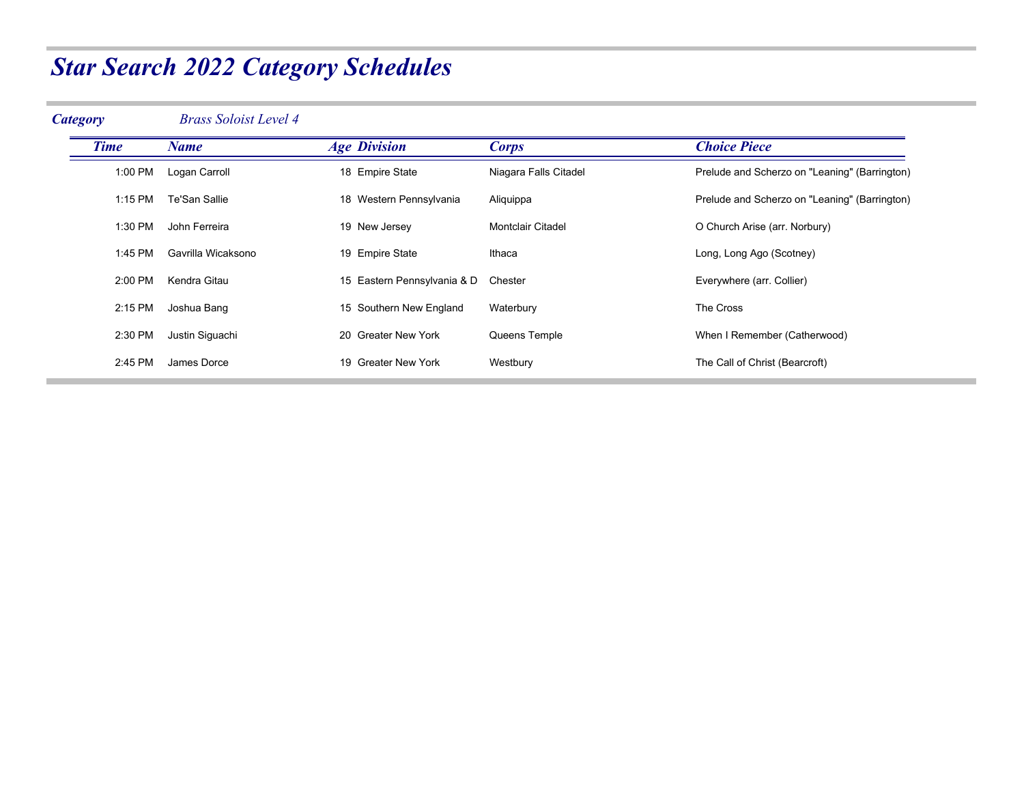| <b>Category</b> | <b>Brass Soloist Level 4</b> |                     |                             |                       |                                               |
|-----------------|------------------------------|---------------------|-----------------------------|-----------------------|-----------------------------------------------|
| <b>Time</b>     | <b>Name</b>                  | <b>Age Division</b> |                             | <b>Corps</b>          | <b>Choice Piece</b>                           |
| 1:00 PM         | Logan Carroll                | 18 Empire State     |                             | Niagara Falls Citadel | Prelude and Scherzo on "Leaning" (Barrington) |
| 1:15 PM         | <b>Te'San Sallie</b>         |                     | 18 Western Pennsylvania     | Aliquippa             | Prelude and Scherzo on "Leaning" (Barrington) |
| 1:30 PM         | John Ferreira                | 19 New Jersey       |                             | Montclair Citadel     | O Church Arise (arr. Norbury)                 |
| 1:45 PM         | Gavrilla Wicaksono           | 19 Empire State     |                             | Ithaca                | Long, Long Ago (Scotney)                      |
| 2:00 PM         | Kendra Gitau                 |                     | 15 Eastern Pennsylvania & D | Chester               | Everywhere (arr. Collier)                     |
| 2:15 PM         | Joshua Bang                  |                     | 15 Southern New England     | Waterbury             | The Cross                                     |
| 2:30 PM         | Justin Siguachi              | 20 Greater New York |                             | Queens Temple         | When I Remember (Catherwood)                  |
| 2:45 PM         | James Dorce                  | 19 Greater New York |                             | Westbury              | The Call of Christ (Bearcroft)                |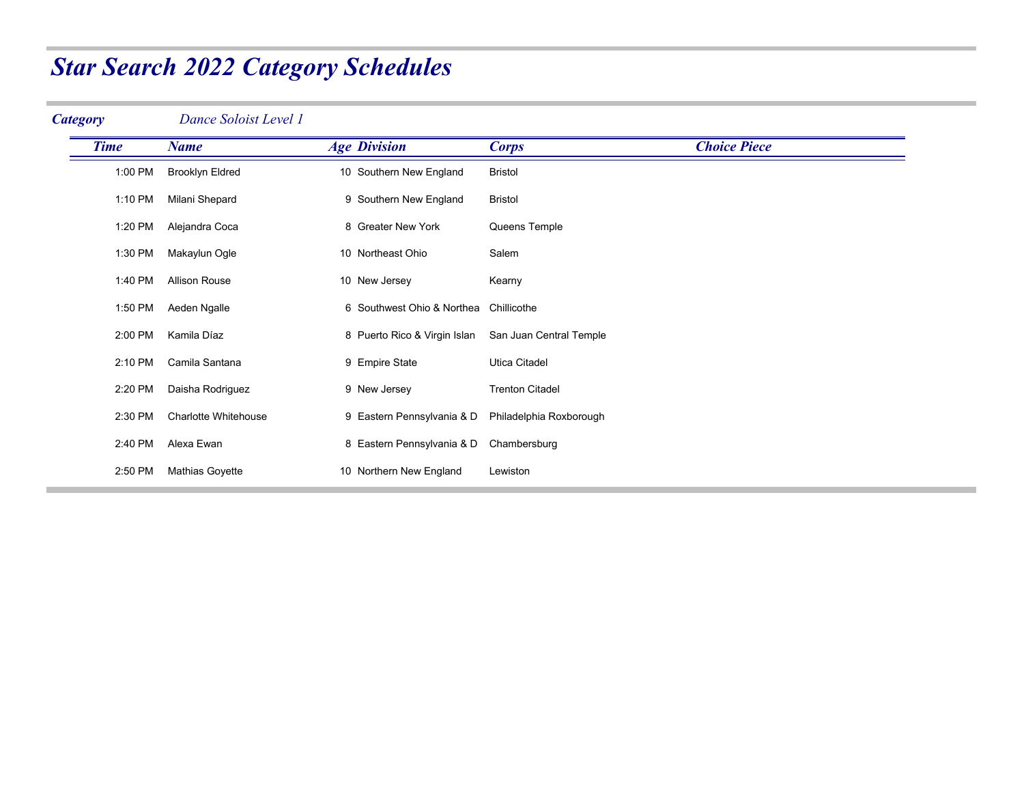### *Category Dance Soloist Level 1 Time Name Age Division Corps Choice Piece* 1:00 PM Brooklyn Eldred 10 Southern New England Bristol 1:10 PM Milani Shepard 9 Southern New England Bristol 1:20 PM Alejandra Coca 8 Greater New York Queens Temple 1:30 PM Makaylun Ogle 10 Northeast Ohio Salem 1:40 PM Allison Rouse 10 New Jersey Kearny 1:50 PM Aeden Ngalle 6 Southwest Ohio & Northea Chillicothe 2:00 PM Kamila Díaz 8 Puerto Rico & Virgin Islan San Juan Central Temple 2:10 PM Camila Santana **9 Empire State** Utica Citadel 2:20 PM Daisha Rodriguez 9 New Jersey Trenton Citadel 2:30 PM Charlotte Whitehouse 9 Eastern Pennsylvania & D Philadelphia Roxborough 2:40 PM Alexa Ewan 8 Eastern Pennsylvania & D Chambersburg 2:50 PM Mathias Goyette 10 Northern New England Lewiston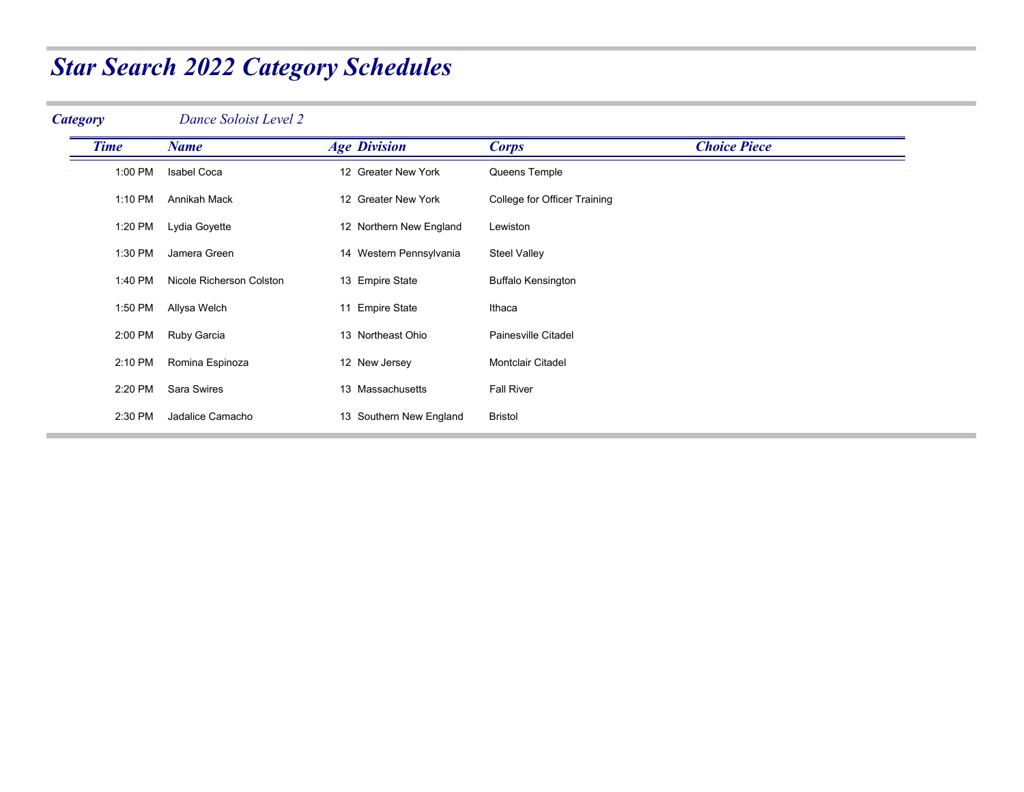### *Category Dance Soloist Level 2 Time Name Age Division Corps Choice Piece* 1:00 PM Isabel Coca 12 Greater New York Queens Temple 1:10 PM Annikah Mack 12 Greater New York College for Officer Training 1:20 PM Lydia Goyette 12 Northern New England Lewiston 1:30 PM Jamera Green 14 Western Pennsylvania Steel Valley 1:40 PM Nicole Richerson Colston 13 Empire State Buffalo Kensington 1:50 PM Allysa Welch 11 Empire State Ithaca 2:00 PM Ruby Garcia 13 Northeast Ohio Painesville Citadel 2:10 PM Romina Espinoza 12 New Jersey Montclair Citadel 2:20 PM Sara Swires 13 Massachusetts Fall River2:30 PM Jadalice Camacho 13 Southern New England Bristol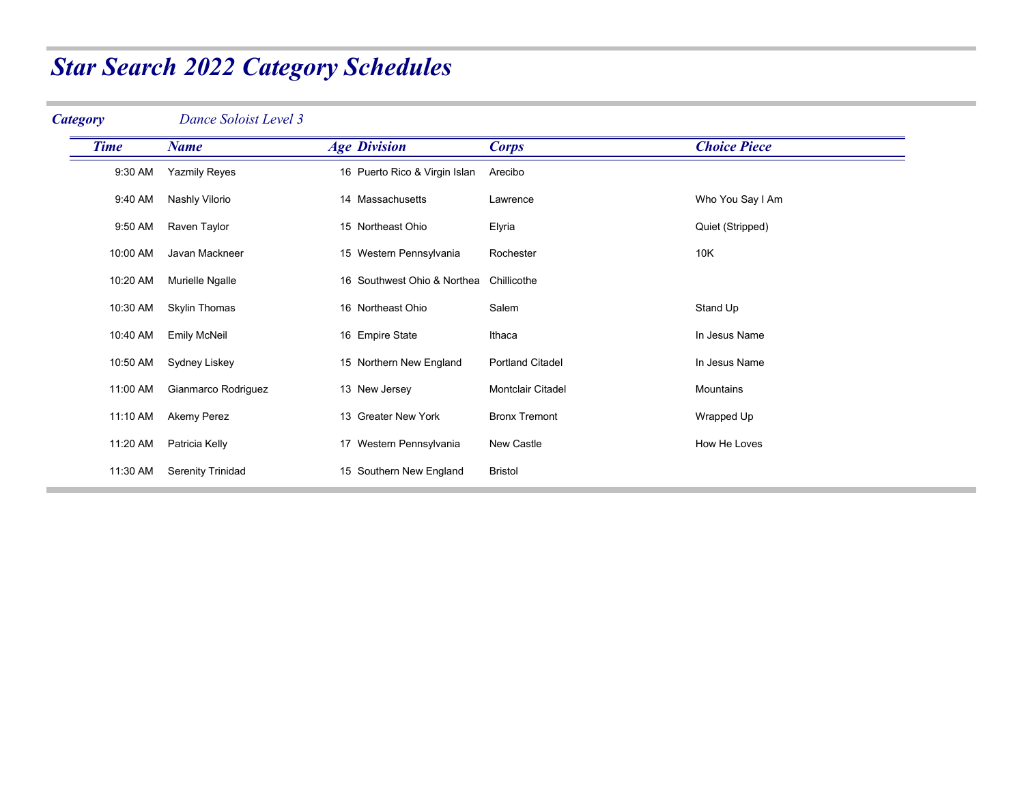### *Category Dance Soloist Level 3 Time Name Age Division Corps Choice Piece* 9:30 AM Yazmily Reyes 16 Puerto Rico & Virgin Islan Arecibo 9:40 AM Nashly Vilorio 14 Massachusetts Lawrence Who You Say I Am 9:50 AM Raven Taylor **15 Northeast Ohio** Elyria **Elyria Cuiet (Stripped)** Quiet (Stripped) 10:00 AM Javan Mackneer 15 Western Pennsylvania Rochester 10K 10:20 AM Murielle Ngalle 16 Southwest Ohio & Northea Chillicothe 10:30 AM Skylin Thomas 16 Northeast Ohio Salem Stand Up Stand Up 10:40 AM Emily McNeil **16 Empire State** Ithaca **In Jesus Name** In Jesus Name 10:50 AM Sydney Liskey **15 Northern New England** Portland Citadel **In Jesus Name** 11:00 AM Gianmarco Rodriguez 13 New Jersey Montclair Citadel Mountains 11:10 AM Akemy Perez **13 Greater New York** Bronx Tremont **Bronx Tremont** Wrapped Up 11:20 AM Patricia Kelly 17 Western Pennsylvania New Castle 17:20 AM Patricia Kelly 11:30 AM Serenity Trinidad 15 Southern New England Bristol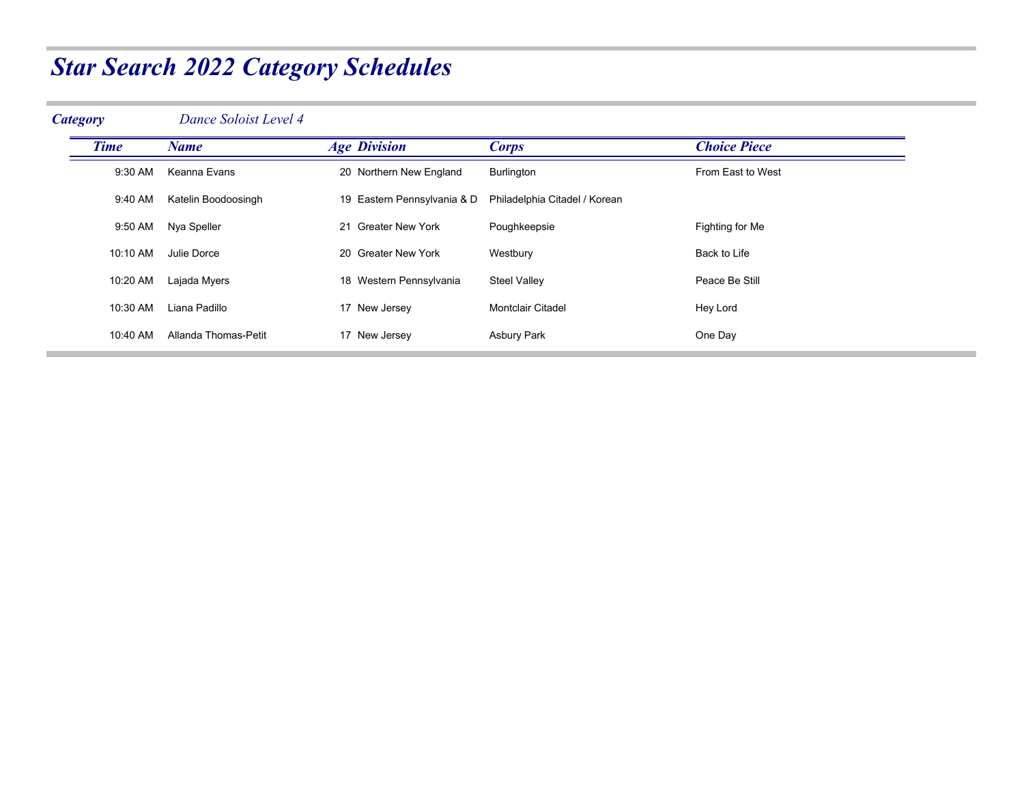| <b>Category</b>            |          | Dance Soloist Level 4 |                             |                               |                   |
|----------------------------|----------|-----------------------|-----------------------------|-------------------------------|-------------------|
| <b>Time</b><br><b>Name</b> |          | <b>Age Division</b>   | <b>Corps</b>                | <b>Choice Piece</b>           |                   |
|                            | 9:30 AM  | Keanna Evans          | 20 Northern New England     | Burlington                    | From East to West |
|                            | 9:40 AM  | Katelin Boodoosingh   | 19 Eastern Pennsylvania & D | Philadelphia Citadel / Korean |                   |
|                            | 9:50 AM  | Nya Speller           | 21 Greater New York         | Poughkeepsie                  | Fighting for Me   |
|                            | 10:10 AM | Julie Dorce           | 20 Greater New York         | Westbury                      | Back to Life      |
|                            | 10:20 AM | Lajada Myers          | 18 Western Pennsylvania     | <b>Steel Valley</b>           | Peace Be Still    |
|                            | 10:30 AM | Liana Padillo         | 17 New Jersey               | <b>Montclair Citadel</b>      | Hey Lord          |
|                            | 10:40 AM | Allanda Thomas-Petit  | 17 New Jersey               | Asbury Park                   | One Day           |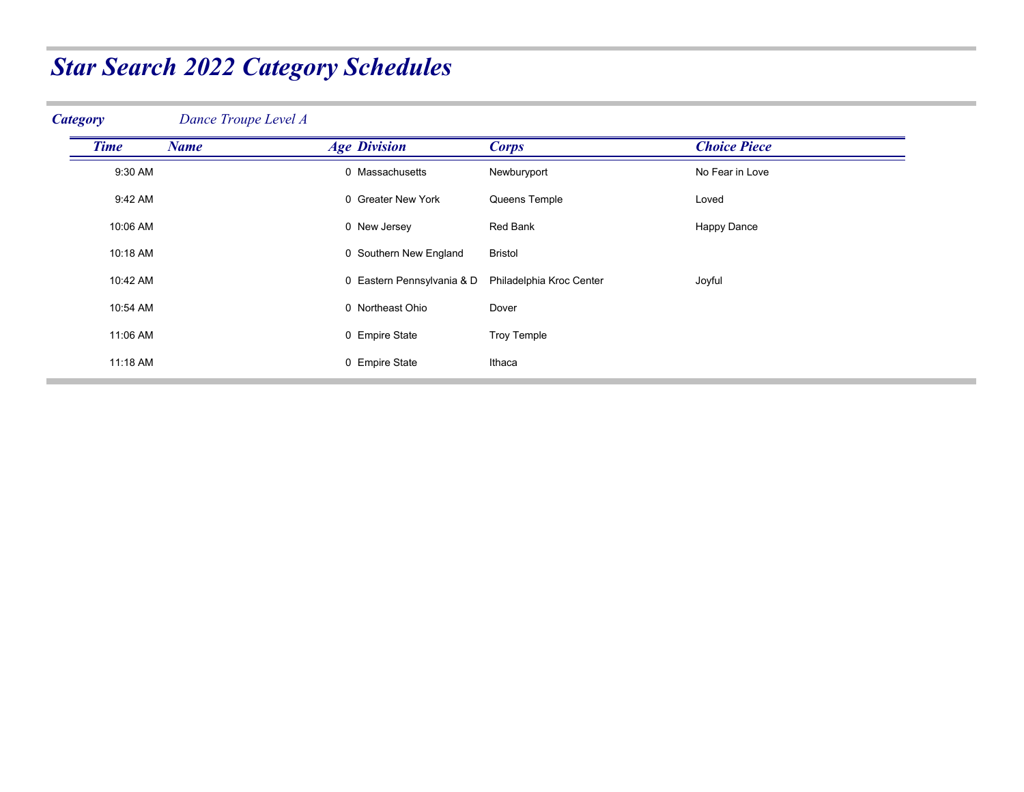| <b>Category</b> |             | Dance Troupe Level A |                            |                          |                     |
|-----------------|-------------|----------------------|----------------------------|--------------------------|---------------------|
|                 | <b>Time</b> | <b>Name</b>          | <b>Age Division</b>        | <b>Corps</b>             | <b>Choice Piece</b> |
|                 | 9:30 AM     |                      | 0 Massachusetts            | Newburyport              | No Fear in Love     |
|                 | 9:42 AM     |                      | 0 Greater New York         | Queens Temple            | Loved               |
|                 | 10:06 AM    |                      | 0 New Jersey               | Red Bank                 | Happy Dance         |
|                 | 10:18 AM    |                      | 0 Southern New England     | <b>Bristol</b>           |                     |
|                 | 10:42 AM    |                      | 0 Eastern Pennsylvania & D | Philadelphia Kroc Center | Joyful              |
|                 | 10:54 AM    |                      | 0 Northeast Ohio           | Dover                    |                     |
|                 | 11:06 AM    |                      | 0 Empire State             | <b>Troy Temple</b>       |                     |
|                 | 11:18 AM    |                      | 0 Empire State             | Ithaca                   |                     |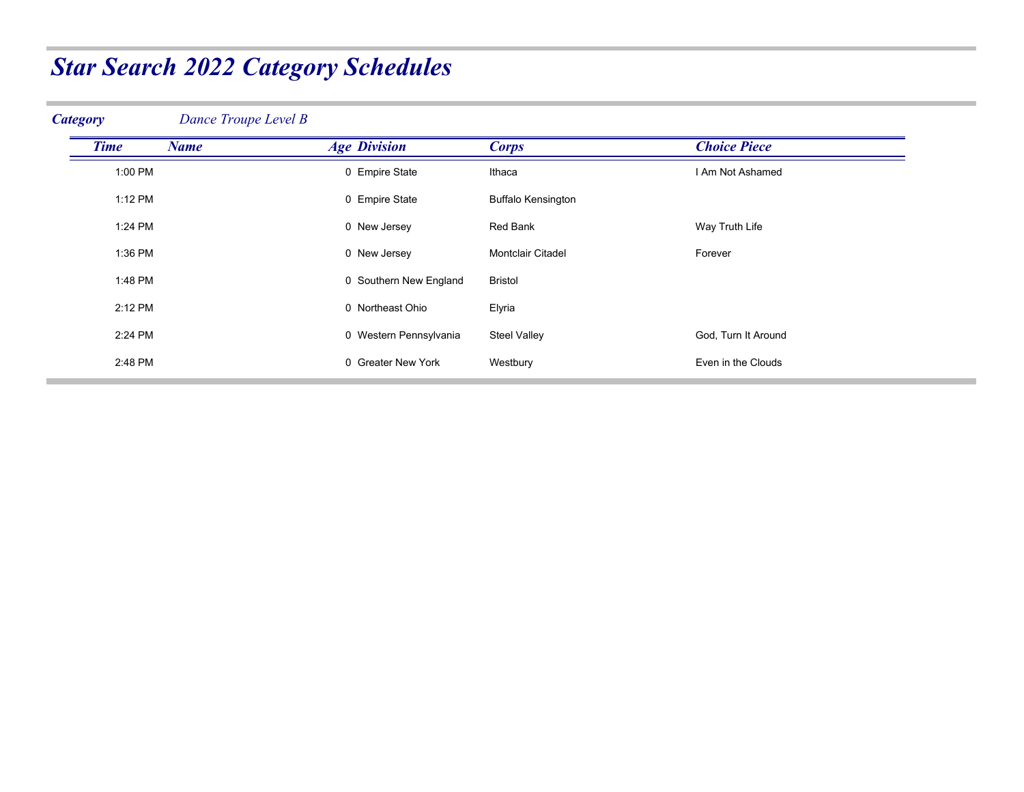| <b>Category</b> | Dance Troupe Level B |                        |                           |                     |
|-----------------|----------------------|------------------------|---------------------------|---------------------|
| <b>Time</b>     | <b>Name</b>          | <b>Age Division</b>    | <b>Corps</b>              | <b>Choice Piece</b> |
| 1:00 PM         |                      | 0 Empire State         | Ithaca                    | I Am Not Ashamed    |
| 1:12 PM         |                      | 0 Empire State         | <b>Buffalo Kensington</b> |                     |
| 1:24 PM         |                      | 0 New Jersey           | Red Bank                  | Way Truth Life      |
| 1:36 PM         |                      | 0 New Jersey           | <b>Montclair Citadel</b>  | Forever             |
| 1:48 PM         |                      | 0 Southern New England | <b>Bristol</b>            |                     |
| 2:12 PM         |                      | 0 Northeast Ohio       | Elyria                    |                     |
| 2:24 PM         |                      | 0 Western Pennsylvania | <b>Steel Valley</b>       | God, Turn It Around |
| 2:48 PM         |                      | 0 Greater New York     | Westbury                  | Even in the Clouds  |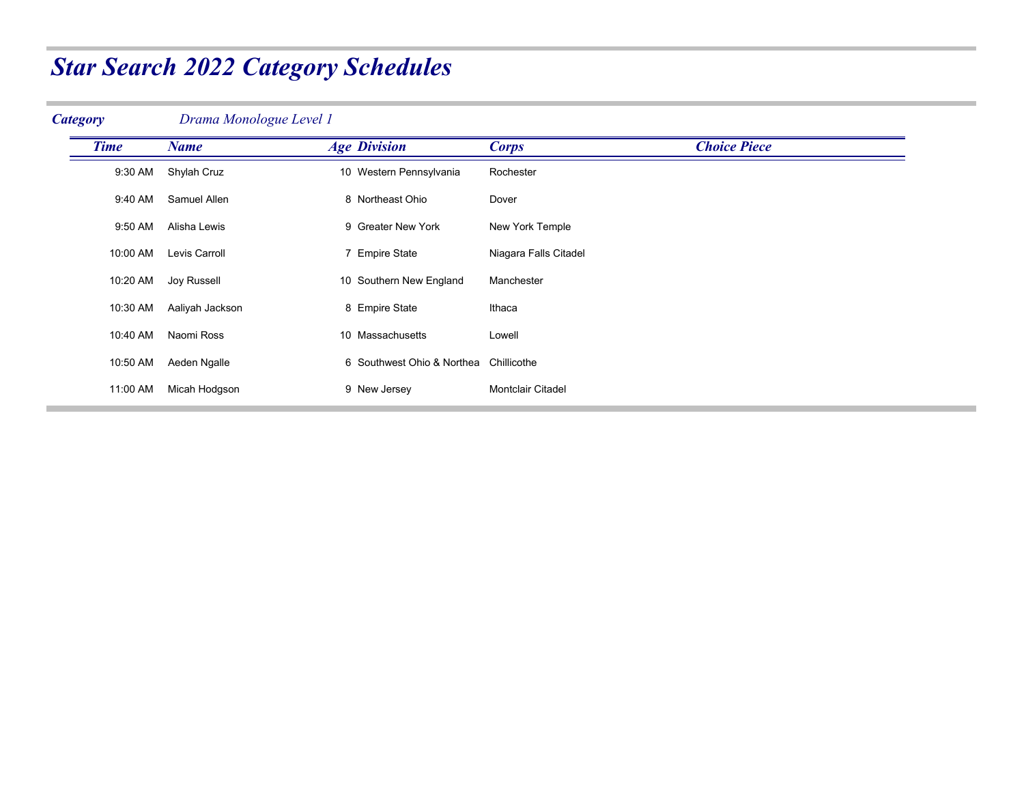| <b>Time</b> | <b>Name</b>     | <b>Age Division</b>        | <b>Corps</b>             | <b>Choice Piece</b> |
|-------------|-----------------|----------------------------|--------------------------|---------------------|
| 9:30 AM     | Shylah Cruz     | 10 Western Pennsylvania    | Rochester                |                     |
| 9:40 AM     | Samuel Allen    | 8 Northeast Ohio           | Dover                    |                     |
| 9:50 AM     | Alisha Lewis    | 9 Greater New York         | New York Temple          |                     |
| 10:00 AM    | Levis Carroll   | 7 Empire State             | Niagara Falls Citadel    |                     |
| 10:20 AM    | Joy Russell     | 10 Southern New England    | Manchester               |                     |
| 10:30 AM    | Aaliyah Jackson | 8 Empire State             | Ithaca                   |                     |
| 10:40 AM    | Naomi Ross      | 10 Massachusetts           | Lowell                   |                     |
| 10:50 AM    | Aeden Ngalle    | 6 Southwest Ohio & Northea | Chillicothe              |                     |
| 11:00 AM    | Micah Hodgson   | 9 New Jersey               | <b>Montclair Citadel</b> |                     |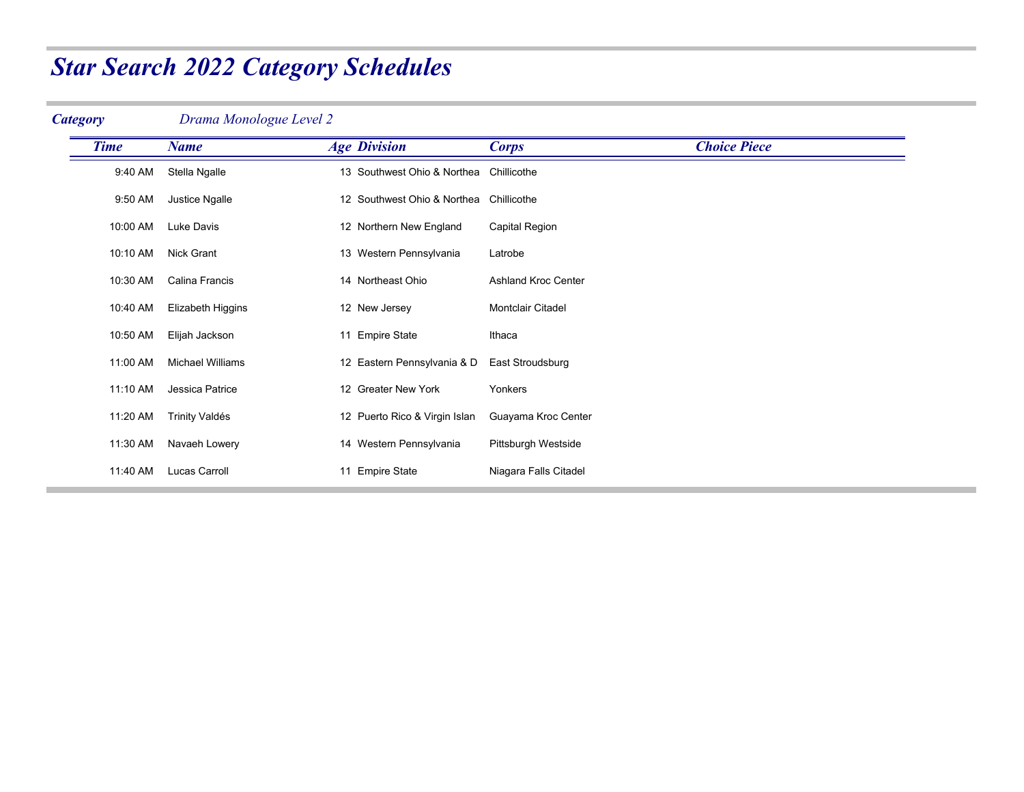| <b>Time</b> | <b>Name</b>             | <b>Age Division</b>           | <b>Corps</b>               | <b>Choice Piece</b> |
|-------------|-------------------------|-------------------------------|----------------------------|---------------------|
| 9:40 AM     | Stella Ngalle           | 13 Southwest Ohio & Northea   | Chillicothe                |                     |
| 9:50 AM     | Justice Ngalle          | 12 Southwest Ohio & Northea   | Chillicothe                |                     |
| 10:00 AM    | Luke Davis              | 12 Northern New England       | Capital Region             |                     |
| 10:10 AM    | <b>Nick Grant</b>       | 13 Western Pennsylvania       | Latrobe                    |                     |
| 10:30 AM    | Calina Francis          | 14 Northeast Ohio             | <b>Ashland Kroc Center</b> |                     |
| 10:40 AM    | Elizabeth Higgins       | 12 New Jersey                 | Montclair Citadel          |                     |
| 10:50 AM    | Elijah Jackson          | 11 Empire State               | Ithaca                     |                     |
| 11:00 AM    | <b>Michael Williams</b> | 12 Eastern Pennsylvania & D   | East Stroudsburg           |                     |
| 11:10 AM    | Jessica Patrice         | 12 Greater New York           | Yonkers                    |                     |
| 11:20 AM    | <b>Trinity Valdés</b>   | 12 Puerto Rico & Virgin Islan | Guayama Kroc Center        |                     |
| 11:30 AM    | Navaeh Lowery           | 14 Western Pennsylvania       | Pittsburgh Westside        |                     |
| 11:40 AM    | Lucas Carroll           | 11 Empire State               | Niagara Falls Citadel      |                     |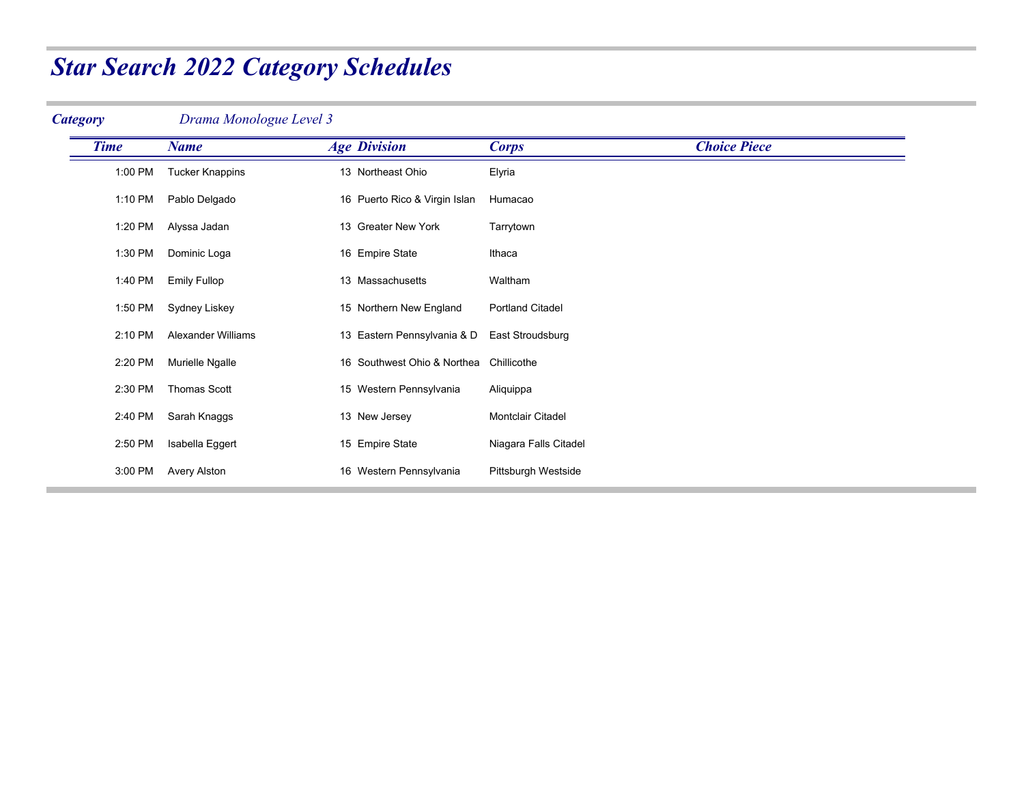| <b>Time</b> | <b>Name</b>               | <b>Age Division</b>           | <b>Corps</b>             | <b>Choice Piece</b> |
|-------------|---------------------------|-------------------------------|--------------------------|---------------------|
| 1:00 PM     | <b>Tucker Knappins</b>    | 13 Northeast Ohio             | Elyria                   |                     |
| 1:10 PM     | Pablo Delgado             | 16 Puerto Rico & Virgin Islan | Humacao                  |                     |
| 1:20 PM     | Alyssa Jadan              | 13 Greater New York           | Tarrytown                |                     |
| 1:30 PM     | Dominic Loga              | 16 Empire State               | Ithaca                   |                     |
| 1:40 PM     | <b>Emily Fullop</b>       | 13 Massachusetts              | Waltham                  |                     |
| 1:50 PM     | Sydney Liskey             | 15 Northern New England       | <b>Portland Citadel</b>  |                     |
| 2:10 PM     | <b>Alexander Williams</b> | 13 Eastern Pennsylvania & D   | East Stroudsburg         |                     |
| 2:20 PM     | Murielle Ngalle           | 16 Southwest Ohio & Northea   | Chillicothe              |                     |
| 2:30 PM     | <b>Thomas Scott</b>       | 15 Western Pennsylvania       | Aliquippa                |                     |
| 2:40 PM     | Sarah Knaggs              | 13 New Jersey                 | <b>Montclair Citadel</b> |                     |
| 2:50 PM     | Isabella Eggert           | 15 Empire State               | Niagara Falls Citadel    |                     |
| 3:00 PM     | <b>Avery Alston</b>       | 16 Western Pennsylvania       | Pittsburgh Westside      |                     |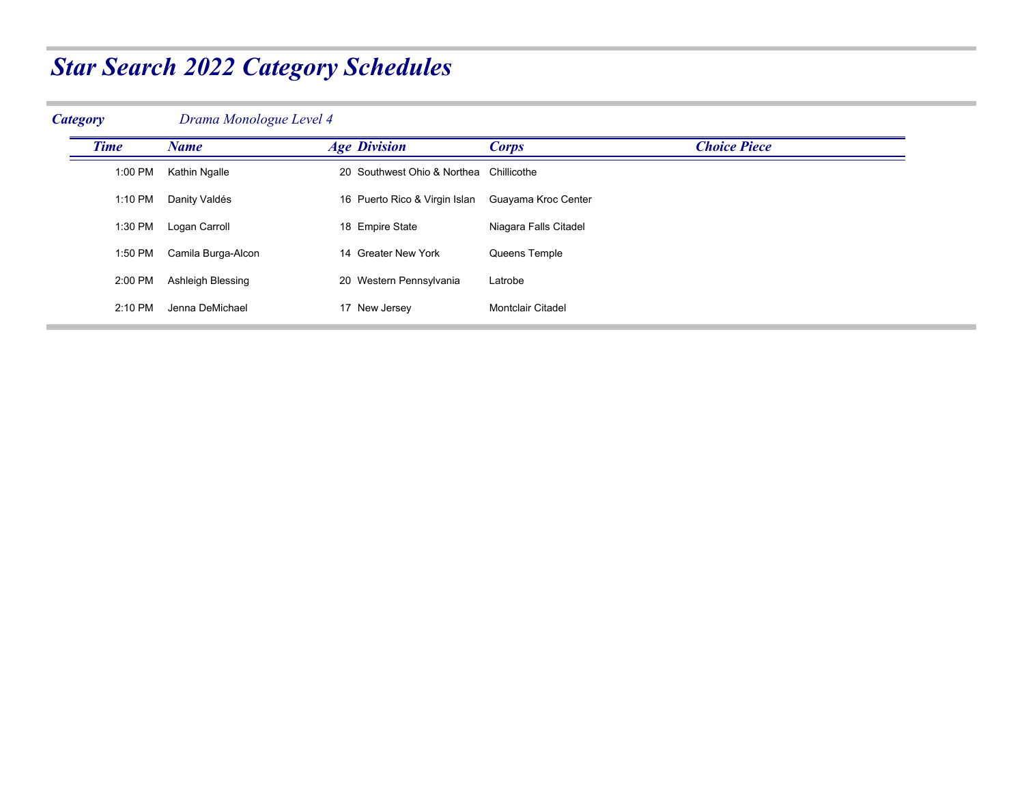| Time      | <b>Name</b>        | <b>Age Division</b>                     | <b>Corps</b>          | <b>Choice Piece</b> |
|-----------|--------------------|-----------------------------------------|-----------------------|---------------------|
| 1:00 PM   | Kathin Ngalle      | 20 Southwest Ohio & Northea Chillicothe |                       |                     |
| 1:10 PM   | Danity Valdés      | 16 Puerto Rico & Virgin Islan           | Guayama Kroc Center   |                     |
| 1:30 PM   | Logan Carroll      | 18 Empire State                         | Niagara Falls Citadel |                     |
| 1:50 PM   | Camila Burga-Alcon | 14 Greater New York                     | Queens Temple         |                     |
| 2:00 PM   | Ashleigh Blessing  | 20 Western Pennsylvania                 | Latrobe               |                     |
| $2:10$ PM | Jenna DeMichael    | 17 New Jersey                           | Montclair Citadel     |                     |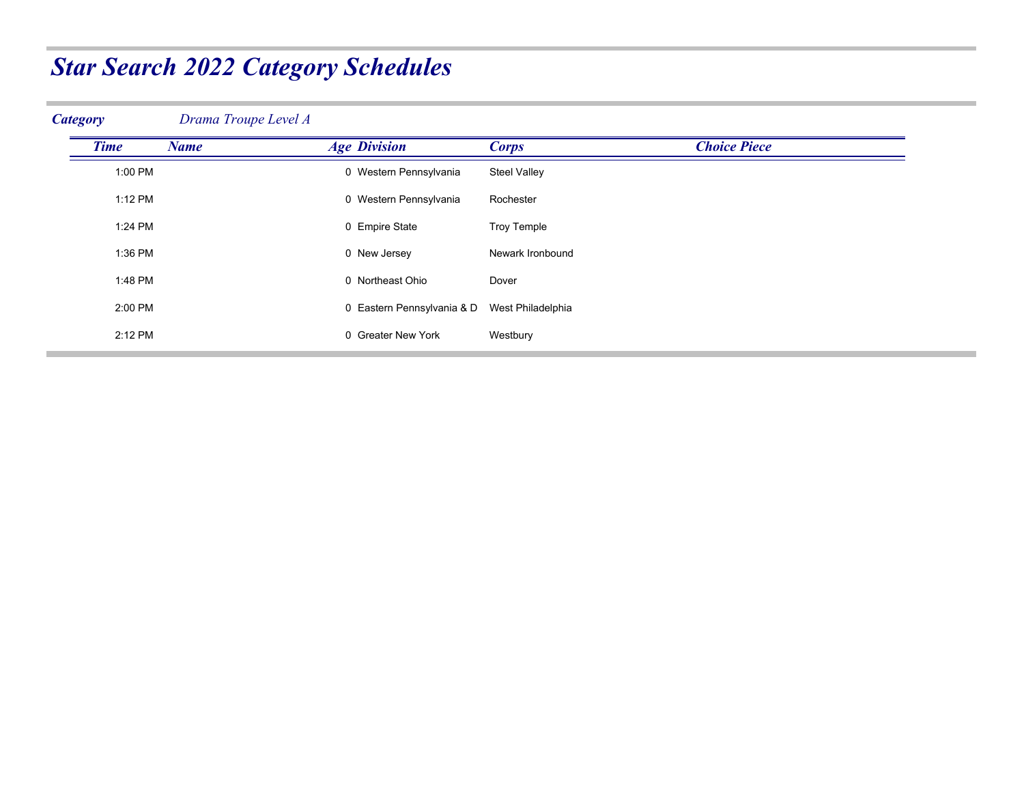| <b>Category</b> | Drama Troupe Level A |                            |                     |                     |
|-----------------|----------------------|----------------------------|---------------------|---------------------|
| <b>Time</b>     | <b>Name</b>          | <b>Age Division</b>        | <b>Corps</b>        | <b>Choice Piece</b> |
| 1:00 PM         |                      | 0 Western Pennsylvania     | <b>Steel Valley</b> |                     |
| 1:12 PM         |                      | 0 Western Pennsylvania     | Rochester           |                     |
| 1:24 PM         |                      | 0 Empire State             | <b>Troy Temple</b>  |                     |
| 1:36 PM         |                      | 0 New Jersey               | Newark Ironbound    |                     |
| 1:48 PM         |                      | 0 Northeast Ohio           | Dover               |                     |
| 2:00 PM         |                      | 0 Eastern Pennsylvania & D | West Philadelphia   |                     |
| 2:12 PM         |                      | 0 Greater New York         | Westbury            |                     |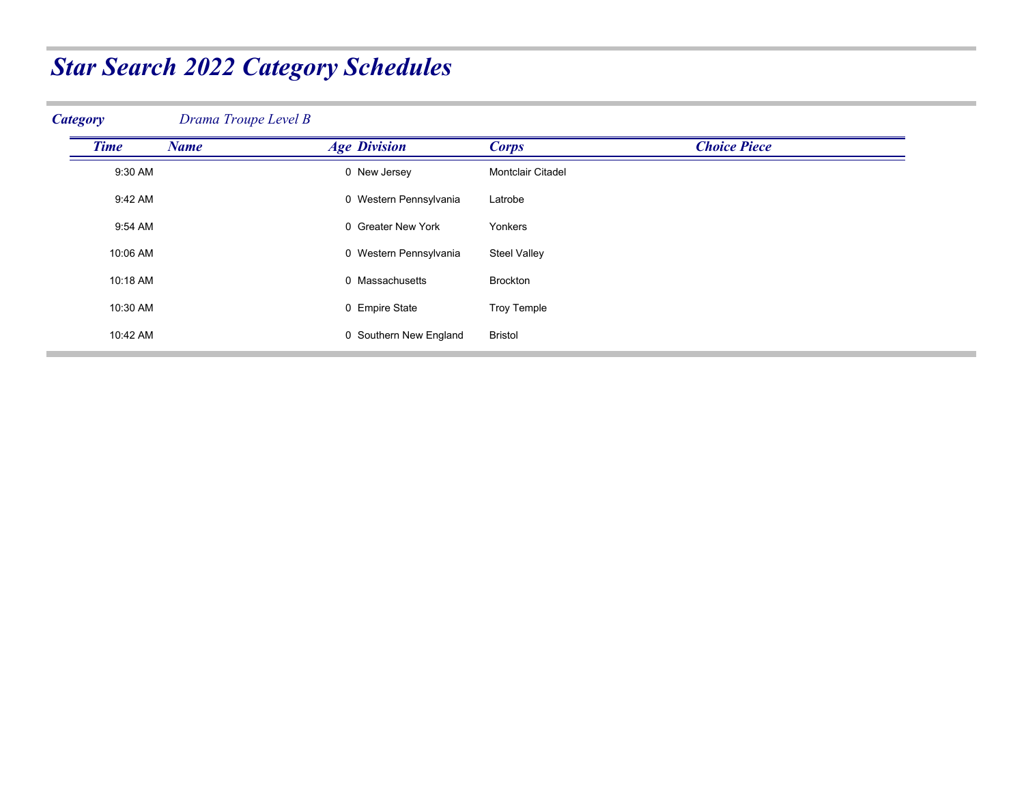| <b>Category</b> | Drama Troupe Level B |                        |                          |                     |
|-----------------|----------------------|------------------------|--------------------------|---------------------|
| <b>Time</b>     | <b>Name</b>          | <b>Age Division</b>    | <b>Corps</b>             | <b>Choice Piece</b> |
| 9:30 AM         |                      | 0 New Jersey           | <b>Montclair Citadel</b> |                     |
| 9:42 AM         |                      | 0 Western Pennsylvania | Latrobe                  |                     |
| 9:54 AM         |                      | 0 Greater New York     | Yonkers                  |                     |
| 10:06 AM        |                      | 0 Western Pennsylvania | <b>Steel Valley</b>      |                     |
| 10:18 AM        |                      | 0 Massachusetts        | <b>Brockton</b>          |                     |
| 10:30 AM        |                      | 0 Empire State         | <b>Troy Temple</b>       |                     |
| 10:42 AM        |                      | 0 Southern New England | <b>Bristol</b>           |                     |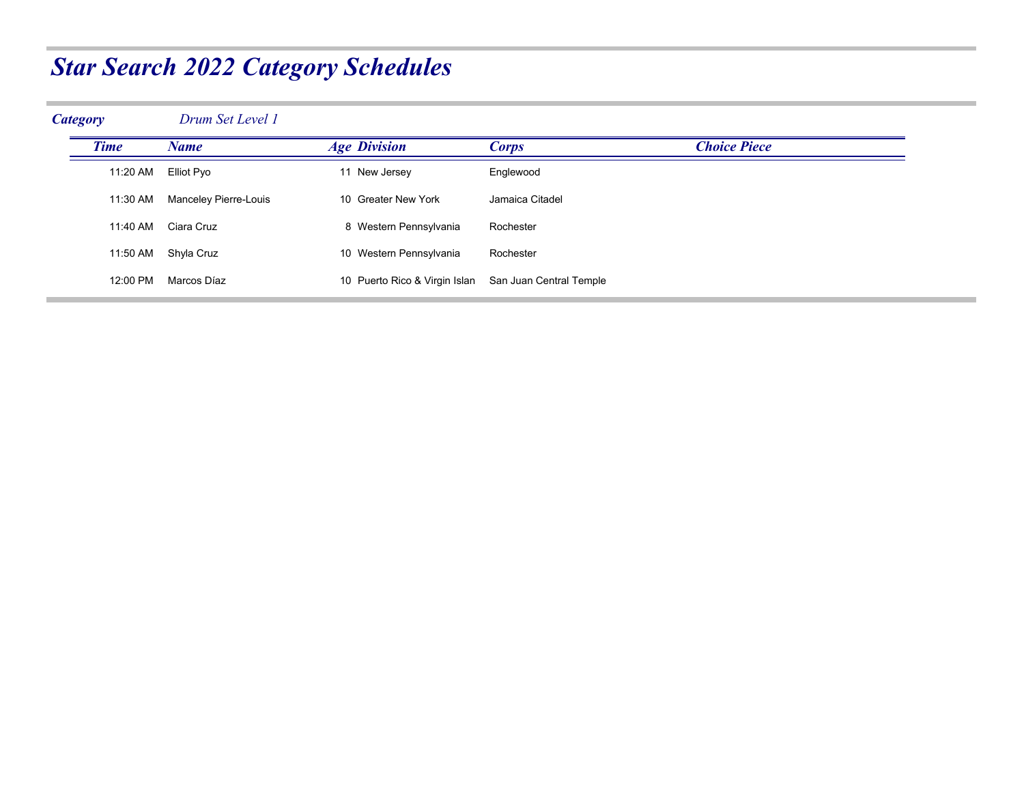| <b>Category</b> | Drum Set Level 1      |                               |                         |                     |  |
|-----------------|-----------------------|-------------------------------|-------------------------|---------------------|--|
| <b>Time</b>     | <b>Name</b>           | <b>Age Division</b>           | <b>Corps</b>            | <b>Choice Piece</b> |  |
| 11:20 AM        | Elliot Pyo            | 11 New Jersey                 | Englewood               |                     |  |
| 11:30 AM        | Manceley Pierre-Louis | 10 Greater New York           | Jamaica Citadel         |                     |  |
| 11:40 AM        | Ciara Cruz            | 8 Western Pennsylvania        | Rochester               |                     |  |
| 11:50 AM        | Shyla Cruz            | 10 Western Pennsylvania       | Rochester               |                     |  |
| 12:00 PM        | Marcos Díaz           | 10 Puerto Rico & Virgin Islan | San Juan Central Temple |                     |  |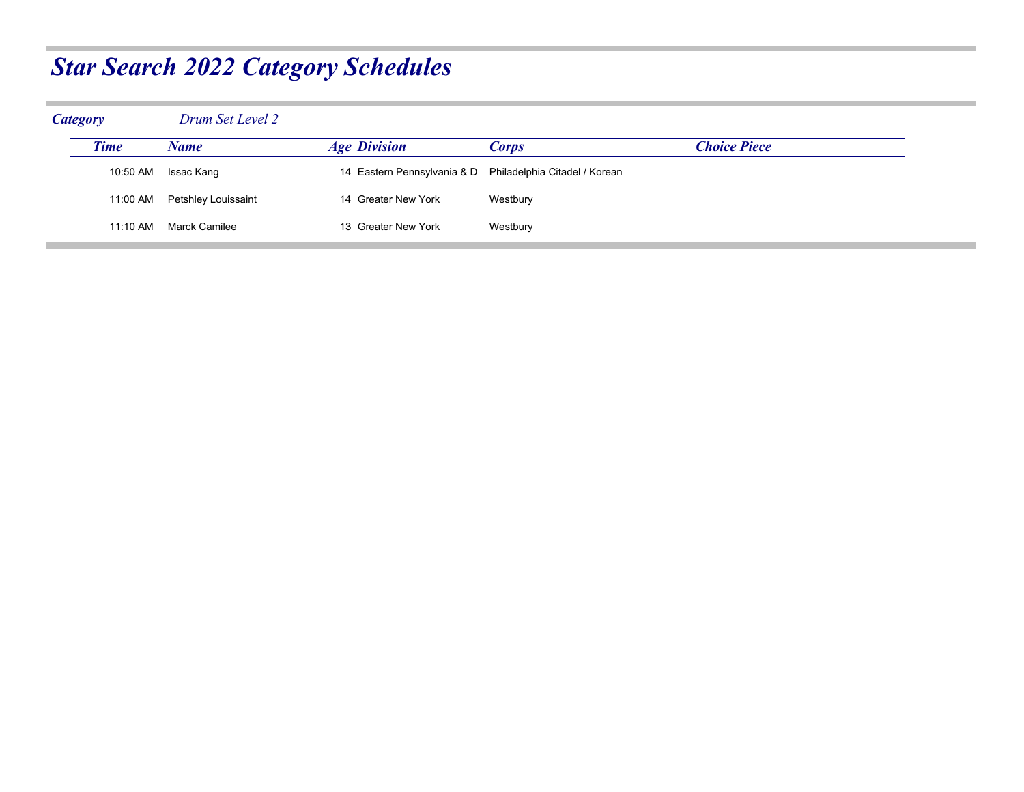| <b>Category</b> |             | Drum Set Level 2    |                                                           |          |              |  |
|-----------------|-------------|---------------------|-----------------------------------------------------------|----------|--------------|--|
|                 | <b>Time</b> | Name                | <b>Age Division</b>                                       | Corps    | Choice Piece |  |
|                 | 10:50 AM    | Issac Kang          | 14 Eastern Pennsylvania & D Philadelphia Citadel / Korean |          |              |  |
|                 | 11:00 AM    | Petshley Louissaint | 14 Greater New York                                       | Westbury |              |  |
|                 | 11:10 AM    | Marck Camilee       | 13 Greater New York                                       | Westbury |              |  |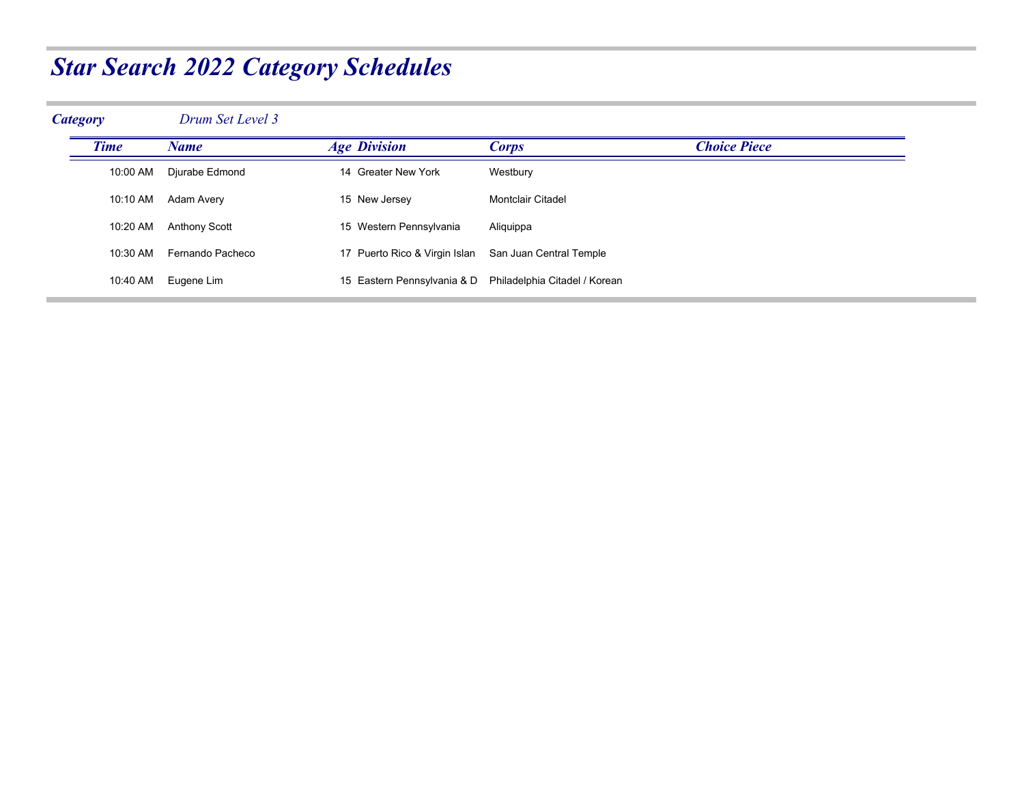| <b>Category</b> | Drum Set Level 3 |                               |                               |                     |
|-----------------|------------------|-------------------------------|-------------------------------|---------------------|
| <b>Time</b>     | <b>Name</b>      | <b>Age Division</b>           | <b>Corps</b>                  | <b>Choice Piece</b> |
| 10:00 AM        | Djurabe Edmond   | 14 Greater New York           | Westbury                      |                     |
| 10:10 AM        | Adam Avery       | 15 New Jersey                 | Montclair Citadel             |                     |
| 10:20 AM        | Anthony Scott    | 15 Western Pennsylvania       | Aliquippa                     |                     |
| 10:30 AM        | Fernando Pacheco | 17 Puerto Rico & Virgin Islan | San Juan Central Temple       |                     |
| 10:40 AM        | Eugene Lim       | 15 Eastern Pennsylvania & D   | Philadelphia Citadel / Korean |                     |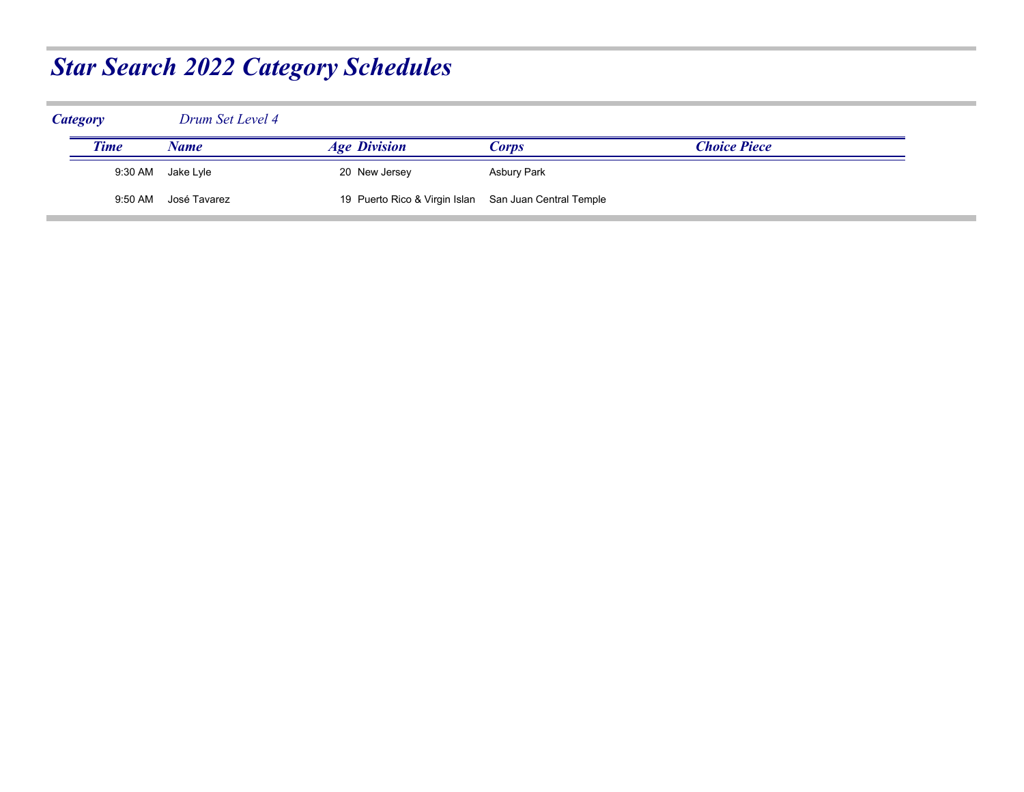| <b>Category</b> |             | Drum Set Level 4     |                                                       |             |              |
|-----------------|-------------|----------------------|-------------------------------------------------------|-------------|--------------|
|                 | <b>Time</b> | Name                 | <b>Age Division</b>                                   | Corps       | Choice Piece |
|                 |             | 9:30 AM Jake Lyle    | 20 New Jersey                                         | Asbury Park |              |
|                 |             | 9:50 AM José Tavarez | 19 Puerto Rico & Virgin Islan San Juan Central Temple |             |              |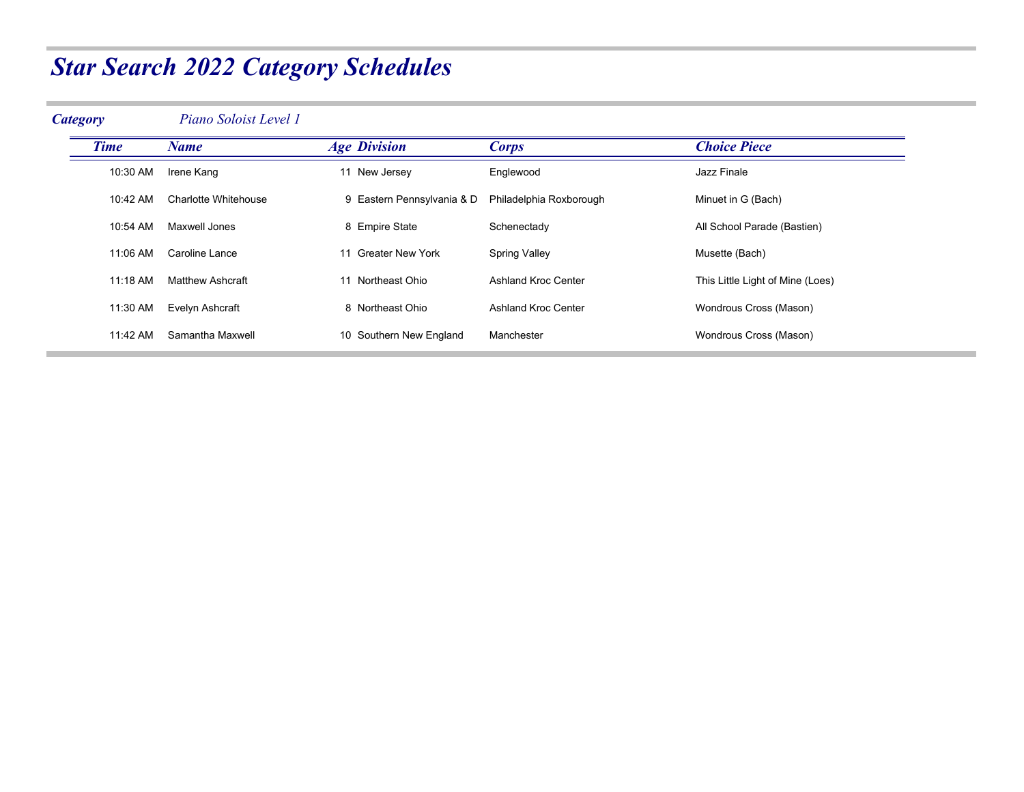| <b>Category</b> |             | Piano Soloist Level 1   |                            |                            |                                  |
|-----------------|-------------|-------------------------|----------------------------|----------------------------|----------------------------------|
|                 | <b>Time</b> | <b>Name</b>             | <b>Age Division</b>        | <b>Corps</b>               | <b>Choice Piece</b>              |
|                 | 10:30 AM    | Irene Kang              | 11 New Jersey              | Englewood                  | Jazz Finale                      |
|                 | 10:42 AM    | Charlotte Whitehouse    | 9 Eastern Pennsylvania & D | Philadelphia Roxborough    | Minuet in G (Bach)               |
|                 | 10:54 AM    | Maxwell Jones           | 8 Empire State             | Schenectady                | All School Parade (Bastien)      |
|                 | 11:06 AM    | Caroline Lance          | 11 Greater New York        | <b>Spring Valley</b>       | Musette (Bach)                   |
|                 | $11:18$ AM  | <b>Matthew Ashcraft</b> | 11 Northeast Ohio          | <b>Ashland Kroc Center</b> | This Little Light of Mine (Loes) |
|                 | 11:30 AM    | Evelyn Ashcraft         | 8 Northeast Ohio           | Ashland Kroc Center        | Wondrous Cross (Mason)           |
|                 | 11:42 AM    | Samantha Maxwell        | 10 Southern New England    | Manchester                 | Wondrous Cross (Mason)           |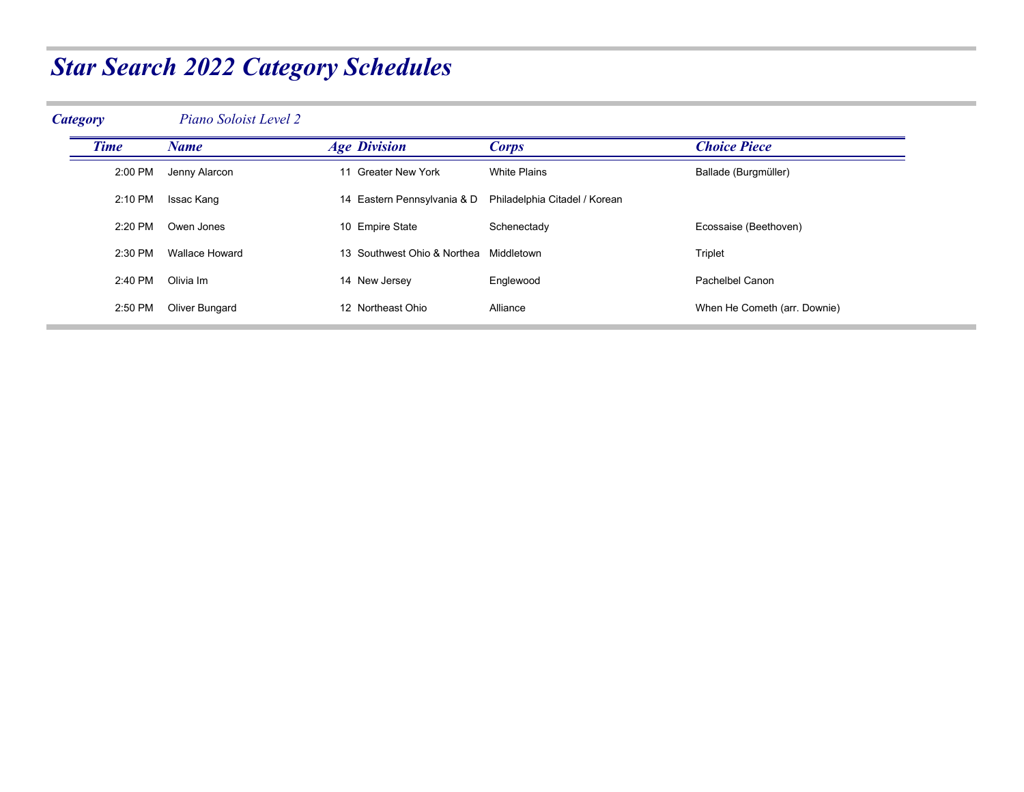| <b>Category</b> |             | Piano Soloist Level 2 |                             |                               |                              |
|-----------------|-------------|-----------------------|-----------------------------|-------------------------------|------------------------------|
|                 | <b>Time</b> | <b>Name</b>           | <b>Age Division</b>         | <b>Corps</b>                  | <b>Choice Piece</b>          |
|                 | 2:00 PM     | Jenny Alarcon         | 11 Greater New York         | White Plains                  | Ballade (Burgmüller)         |
|                 | 2:10 PM     | Issac Kang            | 14 Eastern Pennsylvania & D | Philadelphia Citadel / Korean |                              |
|                 | $2:20$ PM   | Owen Jones            | 10 Empire State             | Schenectady                   | Ecossaise (Beethoven)        |
|                 | 2:30 PM     | Wallace Howard        | 13 Southwest Ohio & Northea | Middletown                    | Triplet                      |
|                 | 2:40 PM     | Olivia Im             | 14 New Jersey               | Englewood                     | Pachelbel Canon              |
|                 | 2:50 PM     | Oliver Bungard        | 12 Northeast Ohio           | Alliance                      | When He Cometh (arr. Downie) |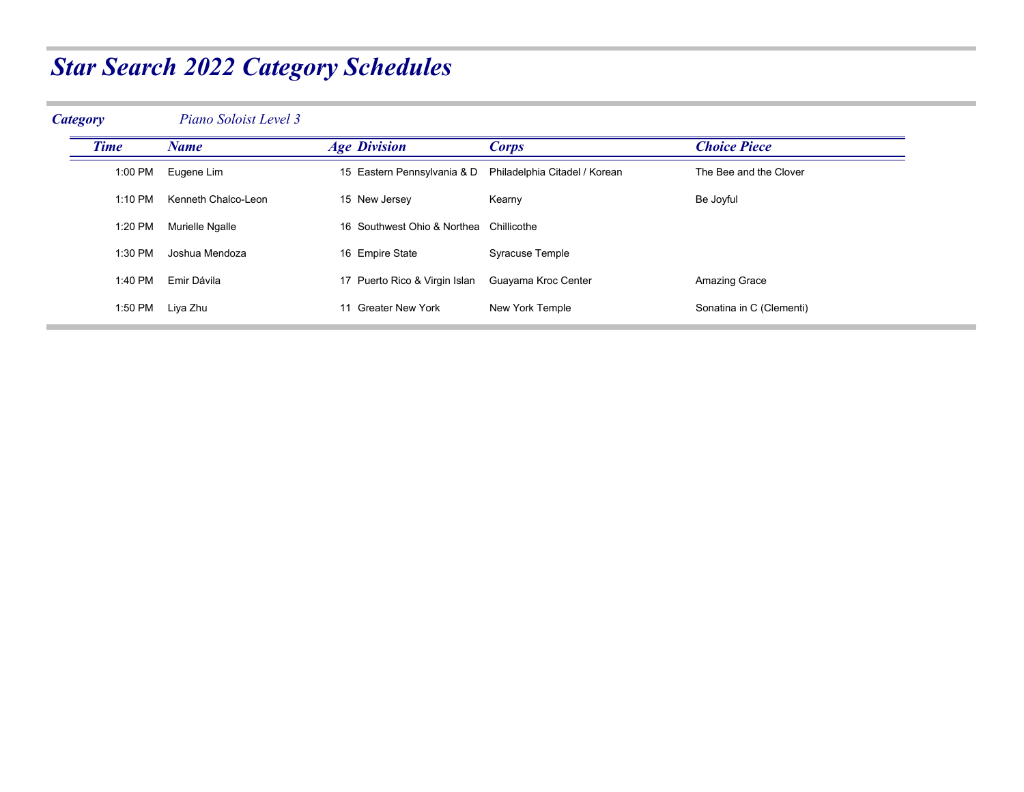| <b>Category</b> | Piano Soloist Level 3 |                                         |                               |                          |
|-----------------|-----------------------|-----------------------------------------|-------------------------------|--------------------------|
| <b>Time</b>     | Name                  | <b>Age Division</b>                     | <b>Corps</b>                  | <b>Choice Piece</b>      |
| 1:00 PM         | Eugene Lim            | 15 Eastern Pennsylvania & D             | Philadelphia Citadel / Korean | The Bee and the Clover   |
| 1:10 PM         | Kenneth Chalco-Leon   | 15 New Jersey                           | Kearny                        | Be Joyful                |
| 1:20 PM         | Murielle Ngalle       | 16 Southwest Ohio & Northea Chillicothe |                               |                          |
| 1:30 PM         | Joshua Mendoza        | 16 Empire State                         | Syracuse Temple               |                          |
| 1:40 PM         | Emir Dávila           | 17 Puerto Rico & Virgin Islan           | Guayama Kroc Center           | <b>Amazing Grace</b>     |
| 1:50 PM         | Liya Zhu              | 11 Greater New York                     | New York Temple               | Sonatina in C (Clementi) |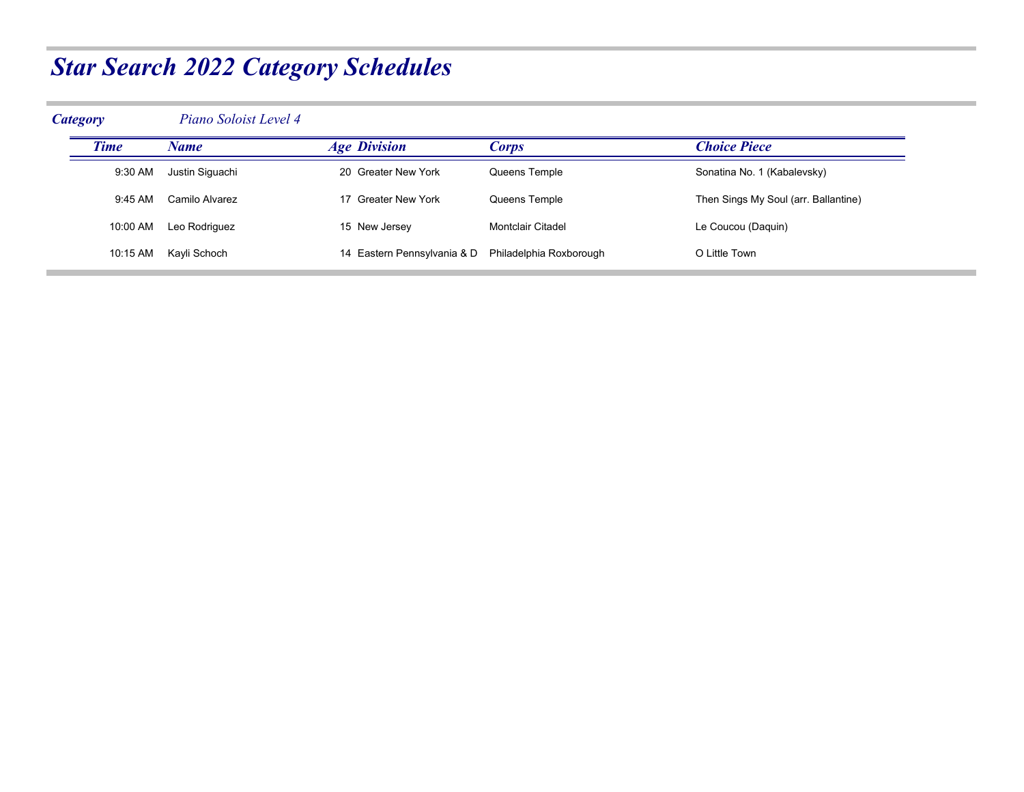| <b>Category</b> |             | Piano Soloist Level 4 |                             |                         |                                      |
|-----------------|-------------|-----------------------|-----------------------------|-------------------------|--------------------------------------|
|                 | <b>Time</b> | Name                  | <b>Age Division</b>         | <b>Corps</b>            | <b>Choice Piece</b>                  |
|                 | 9:30 AM     | Justin Siguachi       | 20 Greater New York         | Queens Temple           | Sonatina No. 1 (Kabalevsky)          |
|                 | 9:45 AM     | Camilo Alvarez        | 17 Greater New York         | Queens Temple           | Then Sings My Soul (arr. Ballantine) |
|                 | 10:00 AM    | Leo Rodriguez         | 15 New Jersey               | Montclair Citadel       | Le Coucou (Daquin)                   |
|                 | 10:15 AM    | Kayli Schoch          | 14 Eastern Pennsylvania & D | Philadelphia Roxborough | O Little Town                        |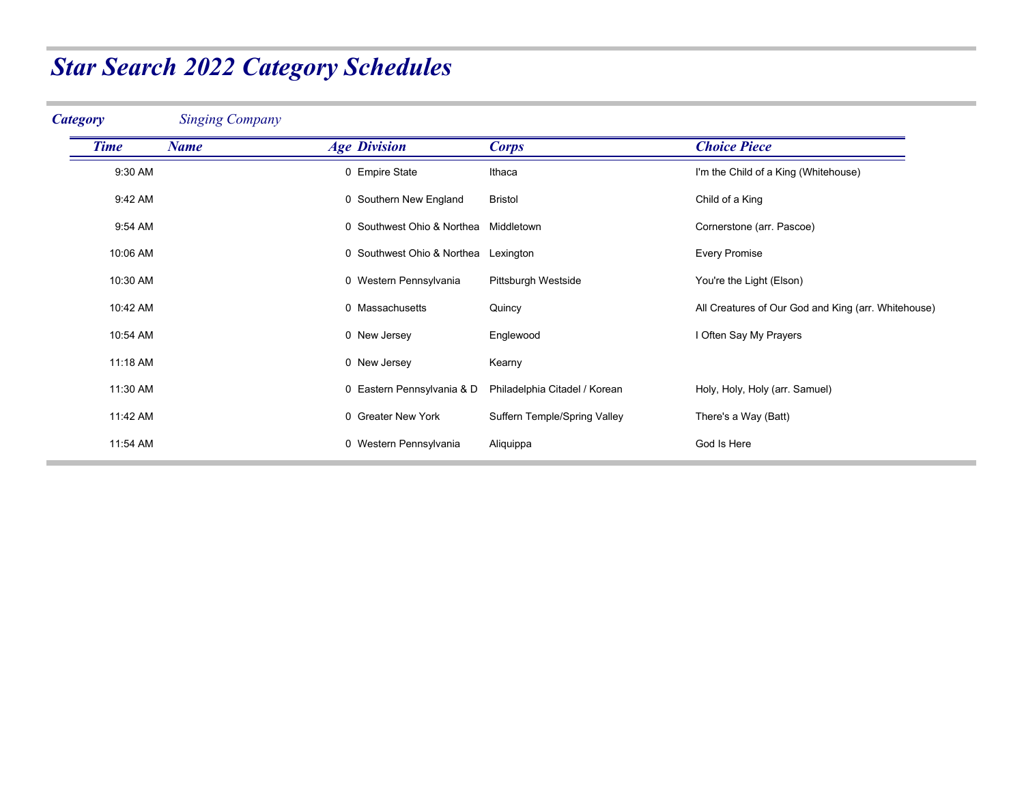| <b>Category</b> | <b>Singing Company</b> |                            |                               |                                                     |
|-----------------|------------------------|----------------------------|-------------------------------|-----------------------------------------------------|
| <b>Time</b>     | <b>Name</b>            | <b>Age Division</b>        | <b>Corps</b>                  | <b>Choice Piece</b>                                 |
| 9:30 AM         |                        | 0 Empire State             | Ithaca                        | I'm the Child of a King (Whitehouse)                |
| 9:42 AM         |                        | 0 Southern New England     | <b>Bristol</b>                | Child of a King                                     |
| 9:54 AM         |                        | 0 Southwest Ohio & Northea | Middletown                    | Cornerstone (arr. Pascoe)                           |
| 10:06 AM        |                        | 0 Southwest Ohio & Northea | Lexington                     | <b>Every Promise</b>                                |
| 10:30 AM        |                        | 0 Western Pennsylvania     | Pittsburgh Westside           | You're the Light (Elson)                            |
| 10:42 AM        |                        | 0 Massachusetts            | Quincy                        | All Creatures of Our God and King (arr. Whitehouse) |
| 10:54 AM        |                        | 0 New Jersey               | Englewood                     | I Often Say My Prayers                              |
| 11:18 AM        |                        | 0 New Jersey               | Kearny                        |                                                     |
| 11:30 AM        |                        | 0 Eastern Pennsylvania & D | Philadelphia Citadel / Korean | Holy, Holy, Holy (arr. Samuel)                      |
| 11:42 AM        |                        | 0 Greater New York         | Suffern Temple/Spring Valley  | There's a Way (Batt)                                |
| 11:54 AM        |                        | 0 Western Pennsylvania     | Aliquippa                     | God Is Here                                         |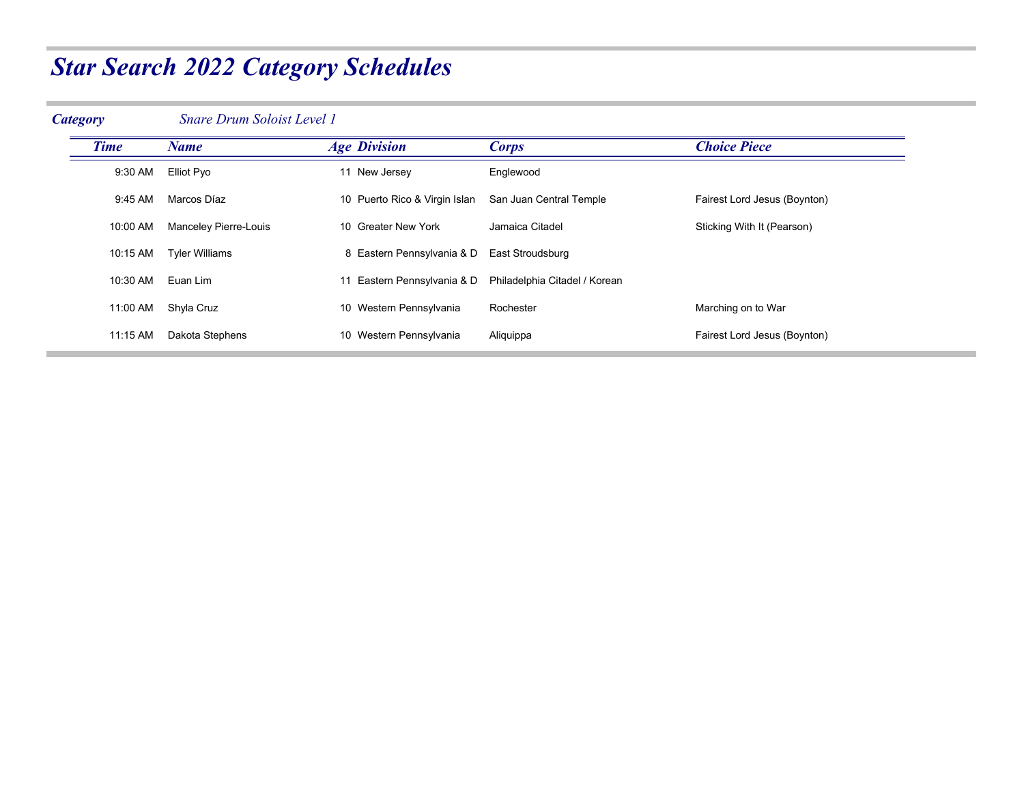### *Category Snare Drum Soloist Level 1 Time Name Age Division Corps Choice Piece* 9:30 AM Elliot Pyo 11 New Jersey Englewood 9:45 AM Marcos Díaz 10 Puerto Rico & Virgin Islan San Juan Central Temple Fairest Lord Jesus (Boynton) 10:00 AM Manceley Pierre-Louis 10 Greater New York Jamaica Citadel Sticking With It (Pearson) 10:15 AM Tyler Williams 8 Eastern Pennsylvania & D East Stroudsburg 10:30 AM Euan Lim 11 Eastern Pennsylvania & D Philadelphia Citadel / Korean 11:00 AM Shyla Cruz **10 Western Pennsylvania** Rochester **Marching on to War**ching on to War 11:15 AM Dakota Stephens 10 Western Pennsylvania Aliquippa **Fairest Lord Jesus (Boynton)**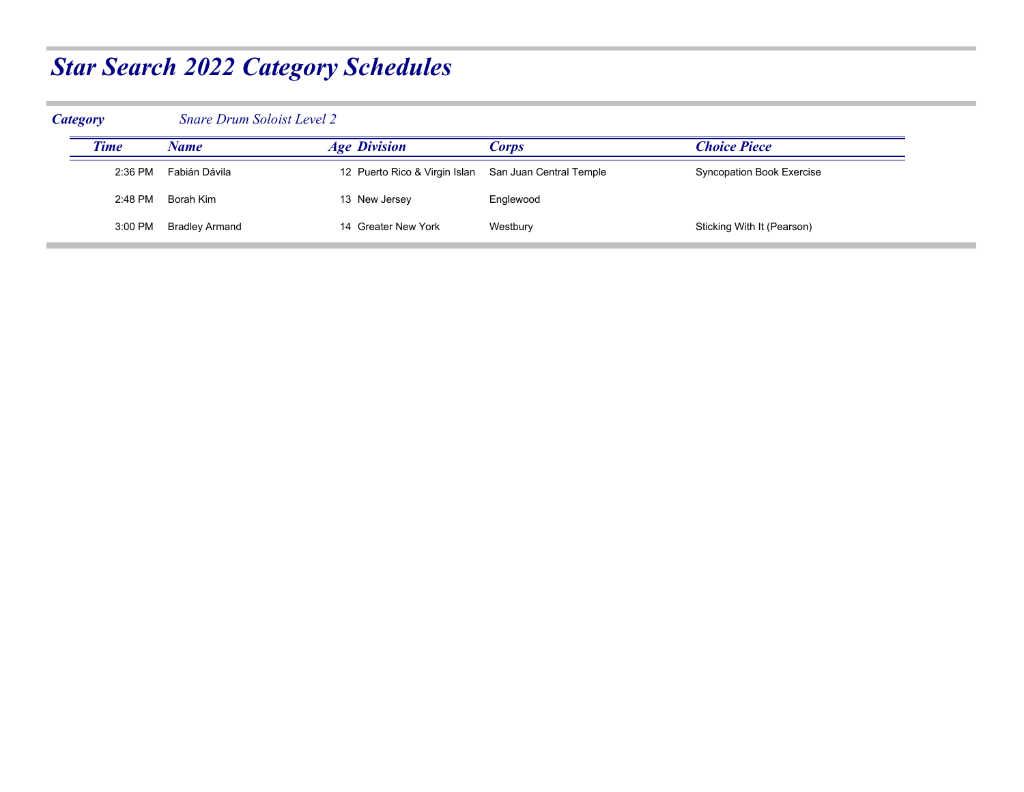| <b>Category</b> |             | <b>Snare Drum Soloist Level 2</b> |                               |                         |                                  |
|-----------------|-------------|-----------------------------------|-------------------------------|-------------------------|----------------------------------|
|                 | <b>Time</b> | Name                              | <b>Age Division</b>           | Corps                   | Choice Piece                     |
|                 | 2:36 PM     | Fabián Dávila                     | 12 Puerto Rico & Virgin Islan | San Juan Central Temple | <b>Syncopation Book Exercise</b> |
|                 | 2:48 PM     | Borah Kim                         | 13 New Jersey                 | Englewood               |                                  |
|                 | 3:00 PM     | Bradley Armand                    | 14 Greater New York           | Westbury                | Sticking With It (Pearson)       |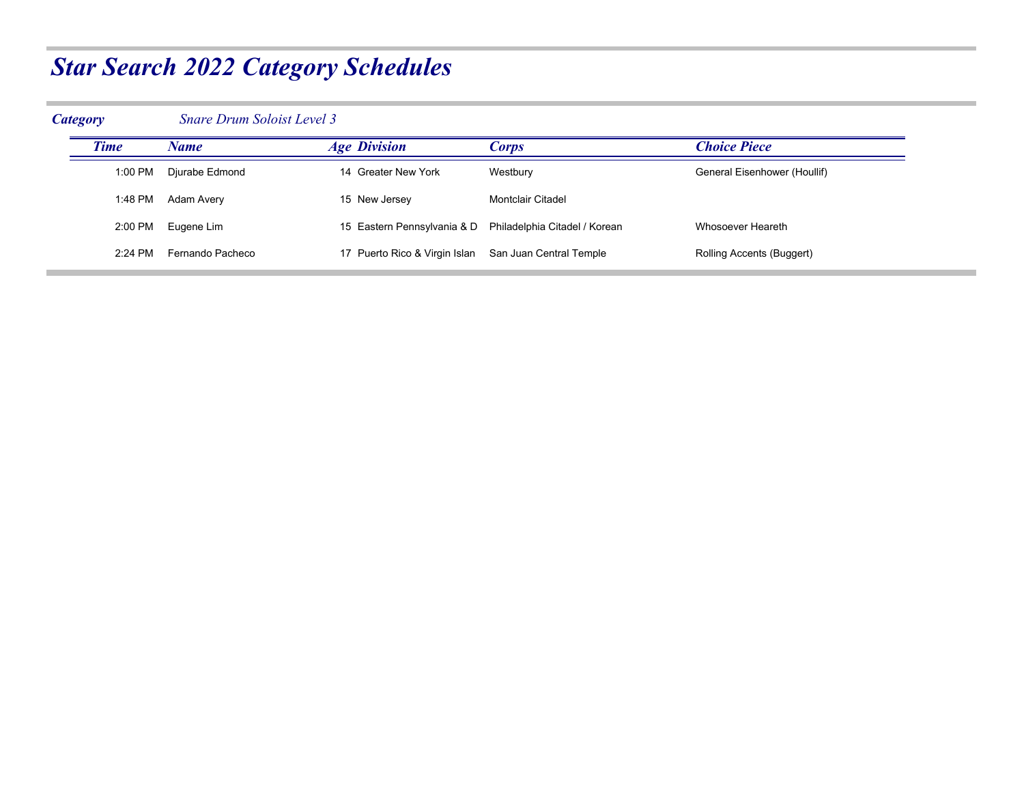| <b>Category</b> |             | <b>Snare Drum Soloist Level 3</b> |                                                           |                   |                              |  |  |
|-----------------|-------------|-----------------------------------|-----------------------------------------------------------|-------------------|------------------------------|--|--|
|                 | <b>Time</b> | Name                              | <b>Age Division</b>                                       | <b>Corps</b>      | Choice Piece                 |  |  |
|                 | 1:00 PM     | Djurabe Edmond                    | 14 Greater New York                                       | Westbury          | General Eisenhower (Houllif) |  |  |
|                 | 1:48 PM     | Adam Avery                        | 15 New Jersey                                             | Montclair Citadel |                              |  |  |
|                 | 2:00 PM     | Eugene Lim                        | 15 Eastern Pennsylvania & D Philadelphia Citadel / Korean |                   | Whosoever Heareth            |  |  |
|                 | 2:24 PM     | Fernando Pacheco                  | 17 Puerto Rico & Virgin Islan San Juan Central Temple     |                   | Rolling Accents (Buggert)    |  |  |
|                 |             |                                   |                                                           |                   |                              |  |  |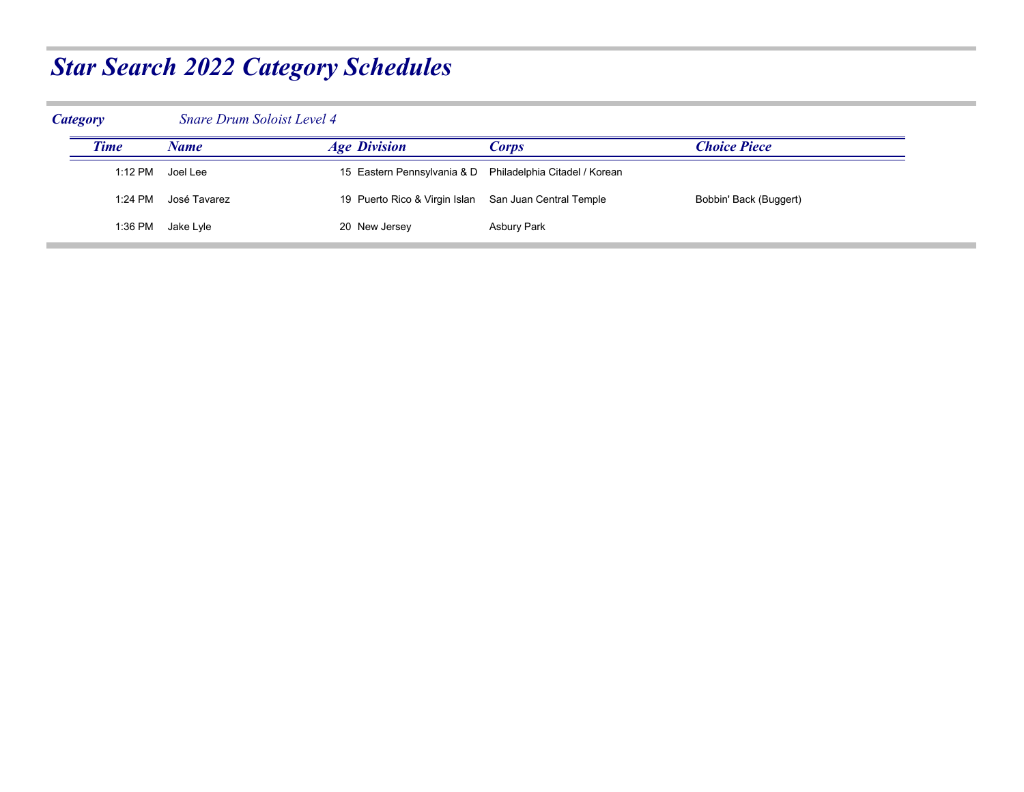| <b>Category</b> | <b>Snare Drum Soloist Level 4</b> |                                                           |              |                        |
|-----------------|-----------------------------------|-----------------------------------------------------------|--------------|------------------------|
| <b>Time</b>     | Name                              | <b>Age Division</b>                                       | <i>Corps</i> | <b>Choice Piece</b>    |
| 1:12 PM         | Joel Lee                          | 15 Eastern Pennsylvania & D Philadelphia Citadel / Korean |              |                        |
| 1:24 PM         | José Tavarez                      | 19 Puerto Rico & Virgin Islan San Juan Central Temple     |              | Bobbin' Back (Buggert) |
| 1:36 PM         | Jake Lyle                         | 20 New Jersey                                             | Asbury Park  |                        |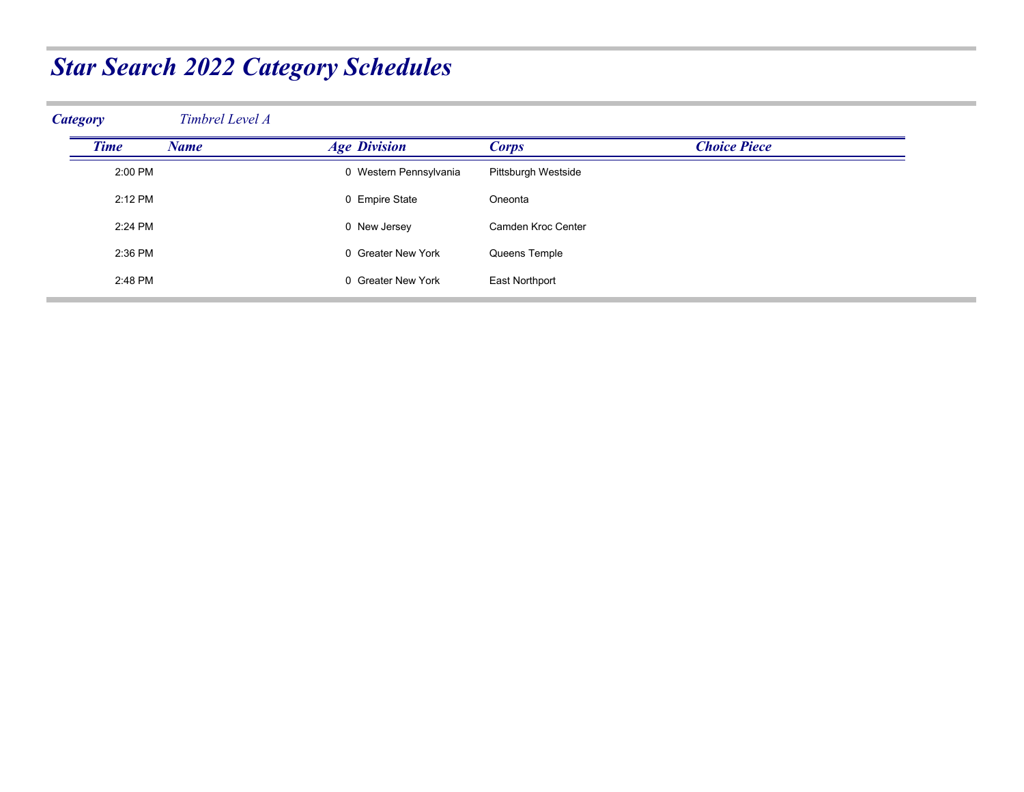| <b>Category</b> | Timbrel Level A |                        |                     |                     |  |
|-----------------|-----------------|------------------------|---------------------|---------------------|--|
| <b>Time</b>     | <b>Name</b>     | <b>Age Division</b>    | <b>Corps</b>        | <b>Choice Piece</b> |  |
| 2:00 PM         |                 | 0 Western Pennsylvania | Pittsburgh Westside |                     |  |
| 2:12 PM         |                 | 0 Empire State         | Oneonta             |                     |  |
| 2:24 PM         |                 | 0 New Jersey           | Camden Kroc Center  |                     |  |
| 2:36 PM         |                 | 0 Greater New York     | Queens Temple       |                     |  |
| 2:48 PM         |                 | 0 Greater New York     | East Northport      |                     |  |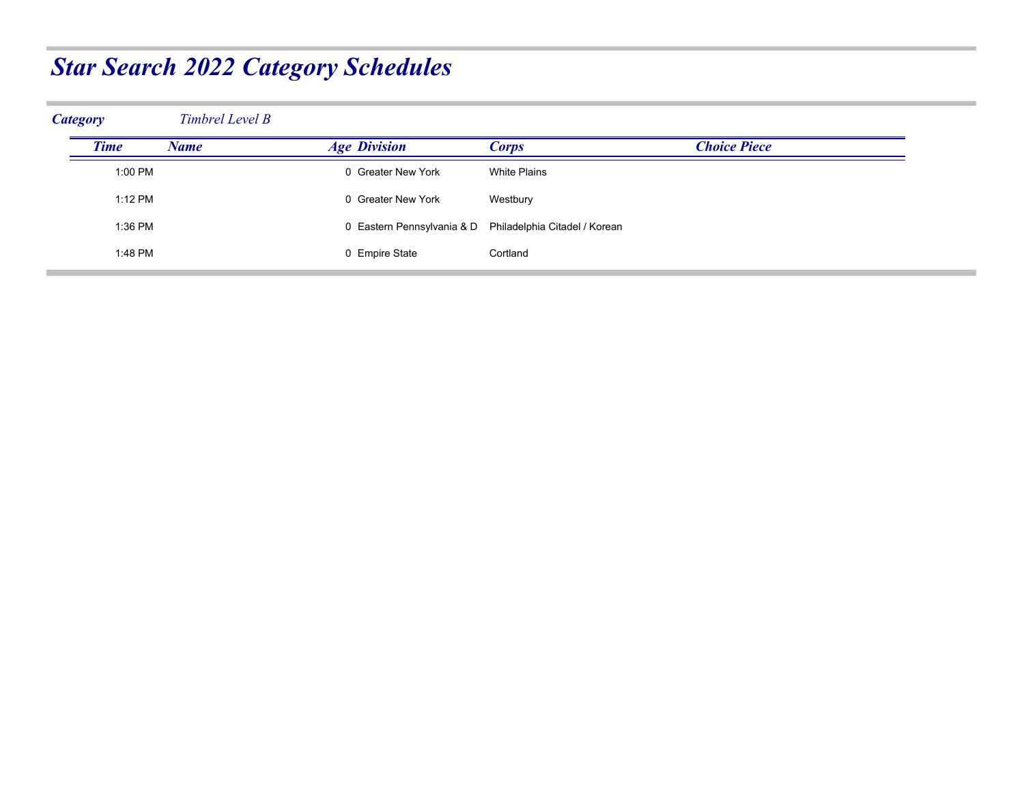| <b>Category</b> |             | Timbrel Level B |                            |                               |                     |  |
|-----------------|-------------|-----------------|----------------------------|-------------------------------|---------------------|--|
|                 | <b>Time</b> | <b>Name</b>     | <b>Age Division</b>        | <b>Corps</b>                  | <b>Choice Piece</b> |  |
|                 | 1:00 PM     |                 | 0 Greater New York         | <b>White Plains</b>           |                     |  |
|                 | 1:12 PM     |                 | 0 Greater New York         | Westbury                      |                     |  |
|                 | 1:36 PM     |                 | 0 Eastern Pennsylvania & D | Philadelphia Citadel / Korean |                     |  |
|                 | 1:48 PM     |                 | 0 Empire State             | Cortland                      |                     |  |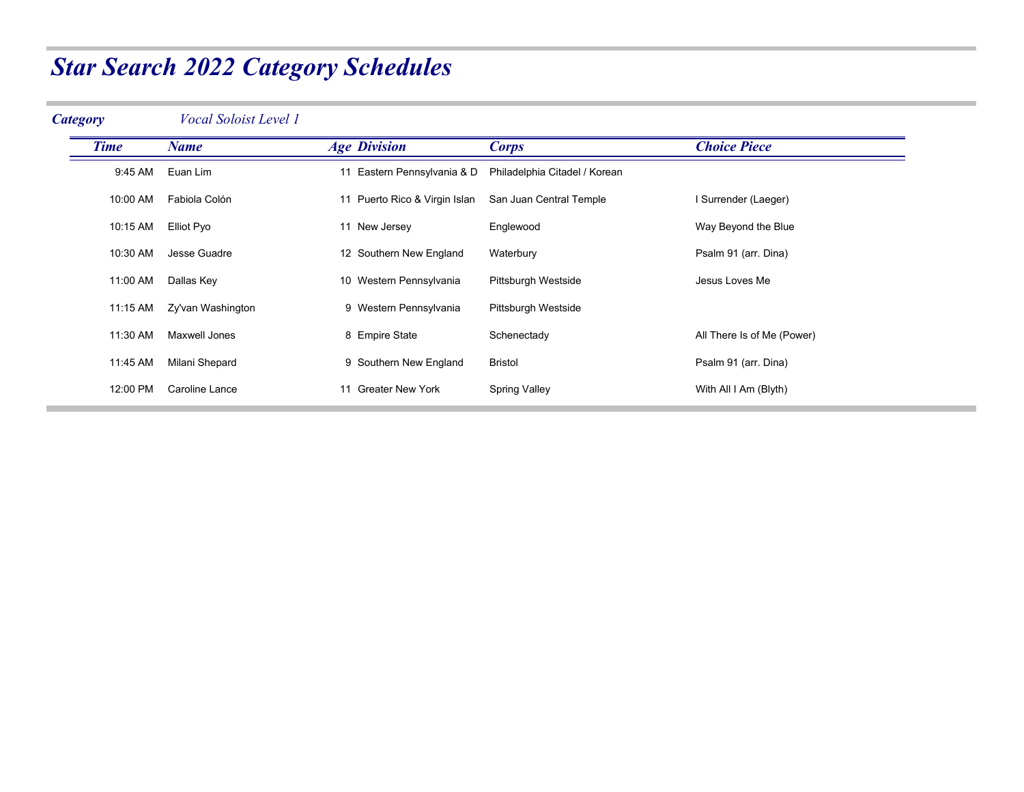| <b>Category</b> | Vocal Soloist Level 1 |                               |                               |                            |
|-----------------|-----------------------|-------------------------------|-------------------------------|----------------------------|
| <b>Time</b>     | <b>Name</b>           | <b>Age Division</b>           | <b>Corps</b>                  | <b>Choice Piece</b>        |
| 9:45 AM         | Euan Lim              | 11 Eastern Pennsylvania & D   | Philadelphia Citadel / Korean |                            |
| 10:00 AM        | Fabiola Colón         | 11 Puerto Rico & Virgin Islan | San Juan Central Temple       | I Surrender (Laeger)       |
| 10:15 AM        | Elliot Pyo            | 11 New Jersey                 | Englewood                     | Way Beyond the Blue        |
| 10:30 AM        | Jesse Guadre          | 12 Southern New England       | Waterbury                     | Psalm 91 (arr. Dina)       |
| 11:00 AM        | Dallas Key            | 10 Western Pennsylvania       | Pittsburgh Westside           | Jesus Loves Me             |
| 11:15 AM        | Zy'van Washington     | 9 Western Pennsylvania        | Pittsburgh Westside           |                            |
| 11:30 AM        | <b>Maxwell Jones</b>  | 8 Empire State                | Schenectady                   | All There Is of Me (Power) |
| 11:45 AM        | Milani Shepard        | 9 Southern New England        | <b>Bristol</b>                | Psalm 91 (arr. Dina)       |
| 12:00 PM        | Caroline Lance        | 11 Greater New York           | <b>Spring Valley</b>          | With All I Am (Blyth)      |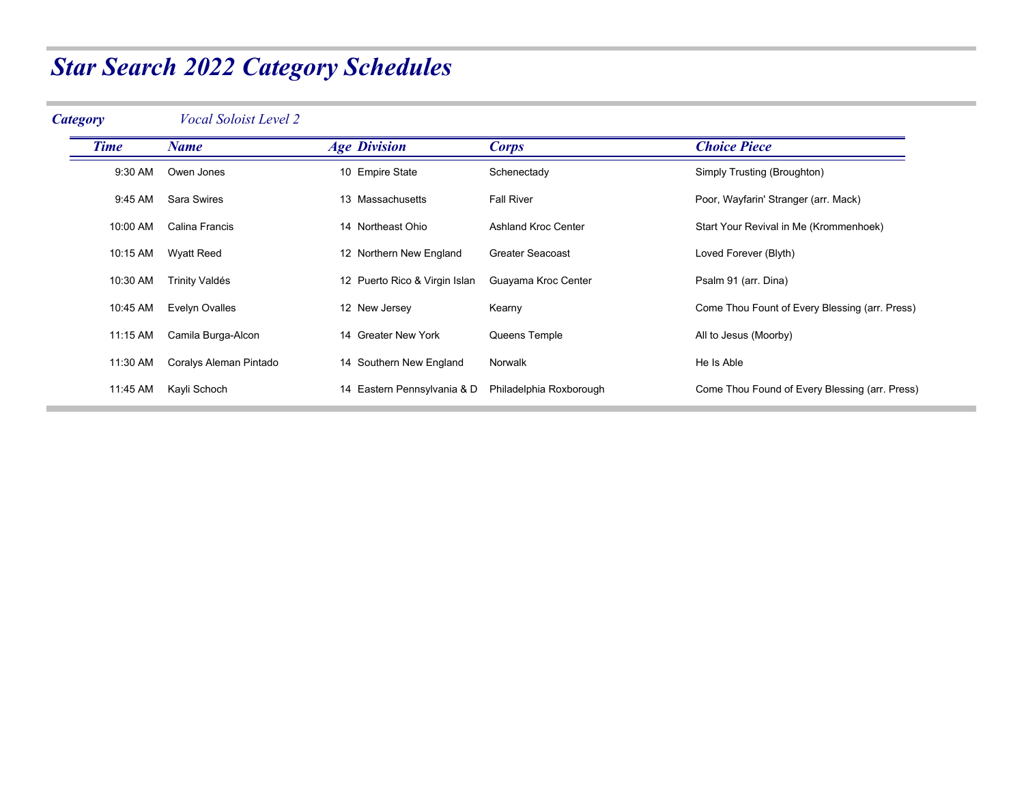| <b>Category</b> | <i>Vocal Soloist Level 2</i> |                                |                         |                                                |
|-----------------|------------------------------|--------------------------------|-------------------------|------------------------------------------------|
| <b>Time</b>     | <b>Name</b>                  | <b>Age Division</b>            | <b>Corps</b>            | <b>Choice Piece</b>                            |
| 9:30 AM         | Owen Jones                   | 10 Empire State                | Schenectady             | Simply Trusting (Broughton)                    |
| 9:45 AM         | <b>Sara Swires</b>           | 13 Massachusetts               | <b>Fall River</b>       | Poor, Wayfarin' Stranger (arr. Mack)           |
| 10:00 AM        | Calina Francis               | 14 Northeast Ohio              | Ashland Kroc Center     | Start Your Revival in Me (Krommenhoek)         |
| 10:15 AM        | <b>Wyatt Reed</b>            | 12 Northern New England        | Greater Seacoast        | Loved Forever (Blyth)                          |
| 10:30 AM        | Trinity Valdés               | 12 Puerto Rico & Virgin Islan  | Guayama Kroc Center     | Psalm 91 (arr. Dina)                           |
| 10:45 AM        | Evelyn Ovalles               | 12 New Jersey                  | Kearny                  | Come Thou Fount of Every Blessing (arr. Press) |
| 11:15 AM        | Camila Burga-Alcon           | 14 Greater New York            | Queens Temple           | All to Jesus (Moorby)                          |
| 11:30 AM        | Coralys Aleman Pintado       | 14 Southern New England        | Norwalk                 | He Is Able                                     |
| 11:45 AM        | Kayli Schoch                 | Eastern Pennsylvania & D<br>14 | Philadelphia Roxborough | Come Thou Found of Every Blessing (arr. Press) |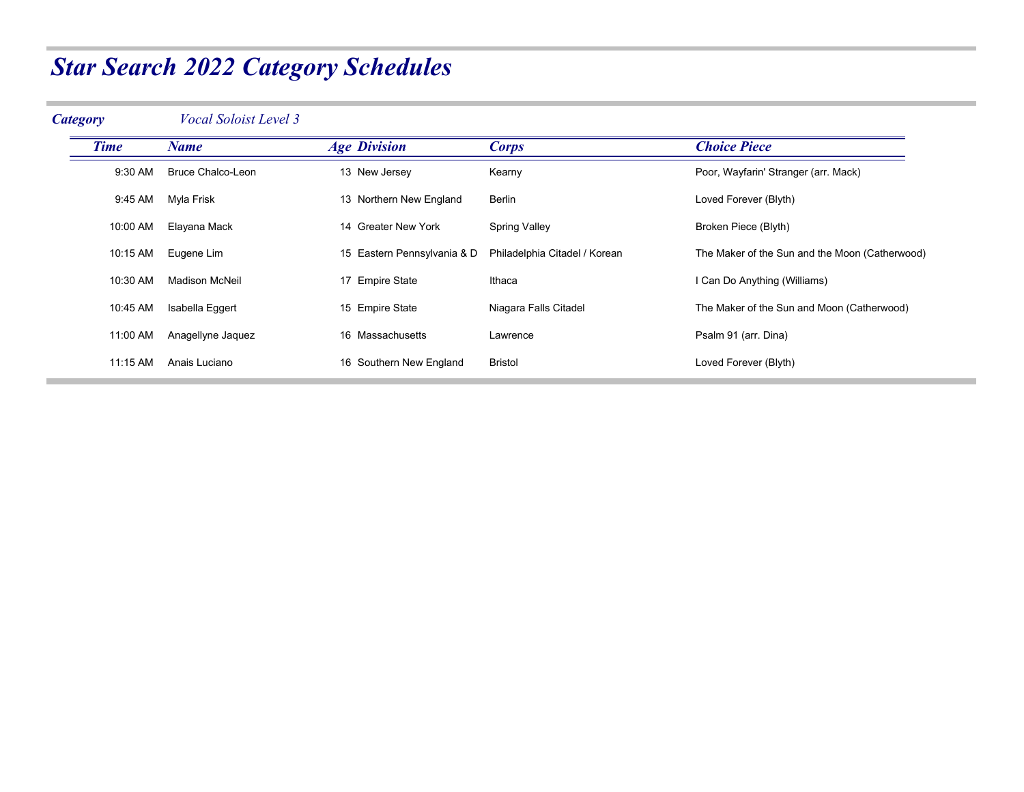| <b>Category</b> | Vocal Soloist Level 3    |                             |                               |                                                |
|-----------------|--------------------------|-----------------------------|-------------------------------|------------------------------------------------|
| <b>Time</b>     | <b>Name</b>              | <b>Age Division</b>         | <b>Corps</b>                  | <b>Choice Piece</b>                            |
| 9:30 AM         | <b>Bruce Chalco-Leon</b> | 13 New Jersey               | Kearny                        | Poor, Wayfarin' Stranger (arr. Mack)           |
| 9:45 AM         | Myla Frisk               | 13 Northern New England     | Berlin                        | Loved Forever (Blyth)                          |
| 10:00 AM        | Elayana Mack             | 14 Greater New York         | <b>Spring Valley</b>          | Broken Piece (Blyth)                           |
| 10:15 AM        | Eugene Lim               | 15 Eastern Pennsylvania & D | Philadelphia Citadel / Korean | The Maker of the Sun and the Moon (Catherwood) |
| 10:30 AM        | Madison McNeil           | 17 Empire State             | Ithaca                        | I Can Do Anything (Williams)                   |
| 10:45 AM        | Isabella Eggert          | 15 Empire State             | Niagara Falls Citadel         | The Maker of the Sun and Moon (Catherwood)     |
| 11:00 AM        | Anagellyne Jaquez        | 16 Massachusetts            | Lawrence                      | Psalm 91 (arr. Dina)                           |
| 11:15 AM        | Anais Luciano            | 16 Southern New England     | <b>Bristol</b>                | Loved Forever (Blyth)                          |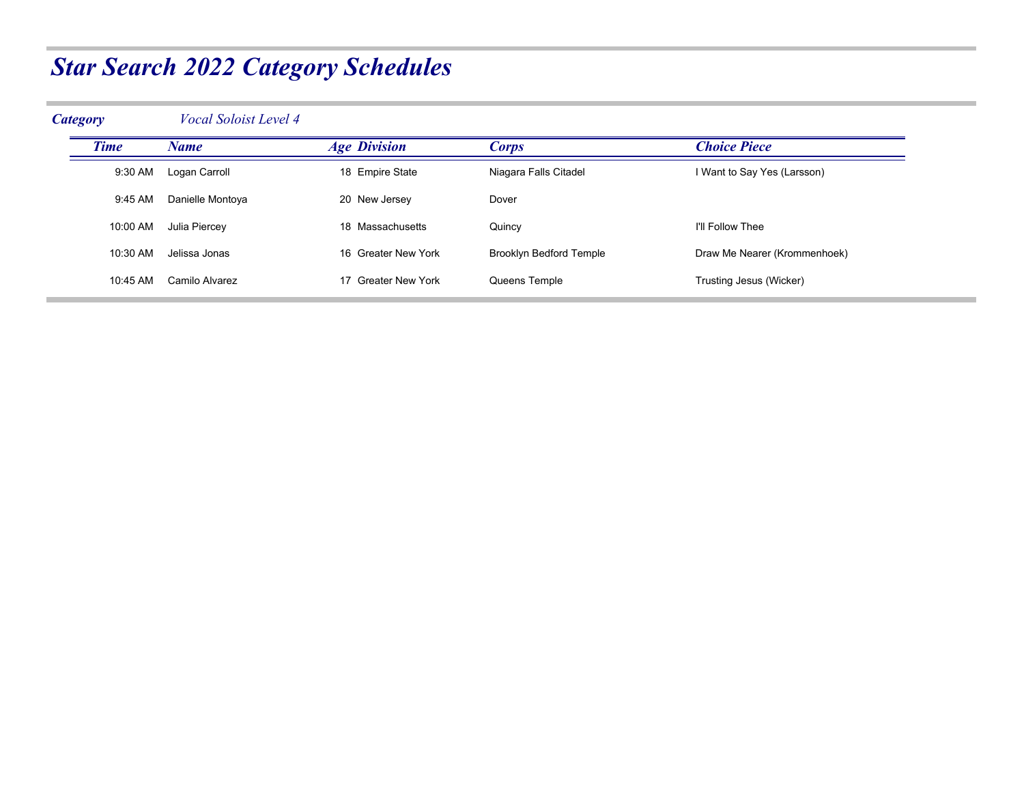| <b>Category</b> | Vocal Soloist Level 4 |                     |                                |                              |
|-----------------|-----------------------|---------------------|--------------------------------|------------------------------|
| <b>Time</b>     | <b>Name</b>           | <b>Age Division</b> | <b>Corps</b>                   | <b>Choice Piece</b>          |
| 9:30 AM         | Logan Carroll         | 18 Empire State     | Niagara Falls Citadel          | I Want to Say Yes (Larsson)  |
| 9:45 AM         | Danielle Montoya      | 20 New Jersey       | Dover                          |                              |
| 10:00 AM        | Julia Piercey         | 18 Massachusetts    | Quincy                         | I'll Follow Thee             |
| 10:30 AM        | Jelissa Jonas         | 16 Greater New York | <b>Brooklyn Bedford Temple</b> | Draw Me Nearer (Krommenhoek) |
| 10:45 AM        | Camilo Alvarez        | 17 Greater New York | Queens Temple                  | Trusting Jesus (Wicker)      |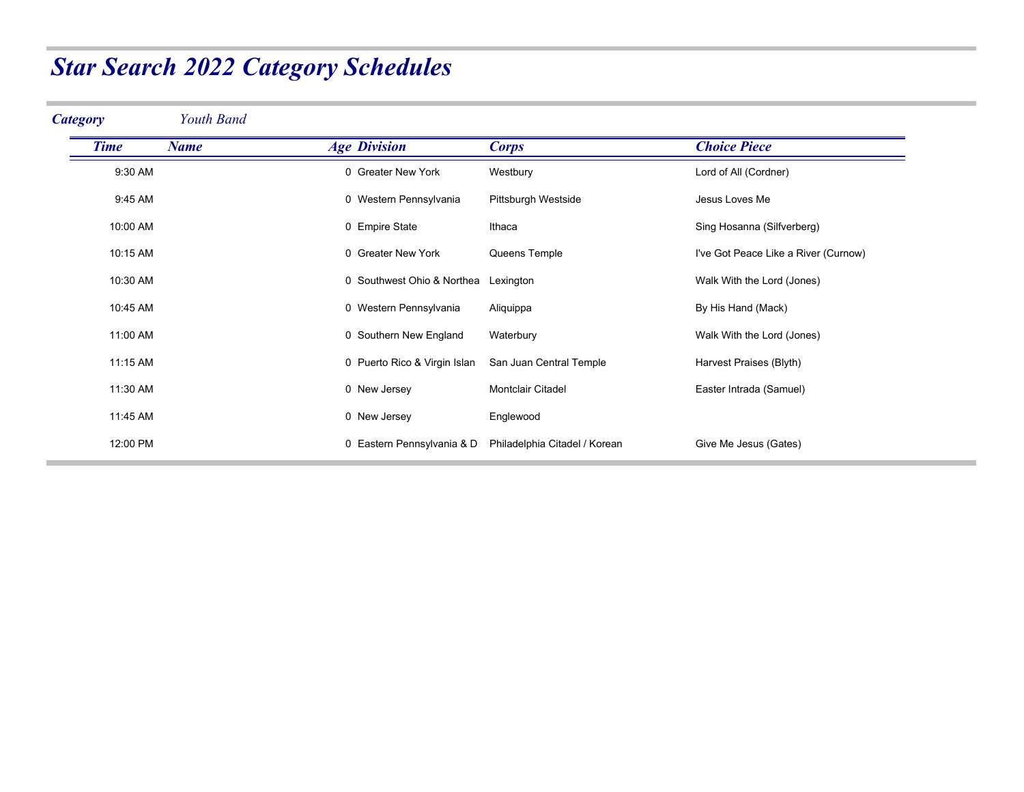| <b>Category</b> | <b>Youth Band</b> |                              |                               |                                      |
|-----------------|-------------------|------------------------------|-------------------------------|--------------------------------------|
| <b>Time</b>     | <b>Name</b>       | <b>Age Division</b>          | <b>Corps</b>                  | <b>Choice Piece</b>                  |
| 9:30 AM         |                   | 0 Greater New York           | Westbury                      | Lord of All (Cordner)                |
| 9:45 AM         |                   | 0 Western Pennsylvania       | Pittsburgh Westside           | Jesus Loves Me                       |
| 10:00 AM        |                   | 0 Empire State               | Ithaca                        | Sing Hosanna (Silfverberg)           |
| 10:15 AM        |                   | 0 Greater New York           | Queens Temple                 | I've Got Peace Like a River (Curnow) |
| 10:30 AM        |                   | 0 Southwest Ohio & Northea   | Lexington                     | Walk With the Lord (Jones)           |
| 10:45 AM        |                   | 0 Western Pennsylvania       | Aliquippa                     | By His Hand (Mack)                   |
| 11:00 AM        |                   | 0 Southern New England       | Waterbury                     | Walk With the Lord (Jones)           |
| 11:15 AM        |                   | 0 Puerto Rico & Virgin Islan | San Juan Central Temple       | Harvest Praises (Blyth)              |
| 11:30 AM        |                   | 0 New Jersey                 | Montclair Citadel             | Easter Intrada (Samuel)              |
| 11:45 AM        |                   | 0 New Jersey                 | Englewood                     |                                      |
| 12:00 PM        |                   | 0 Eastern Pennsylvania & D   | Philadelphia Citadel / Korean | Give Me Jesus (Gates)                |